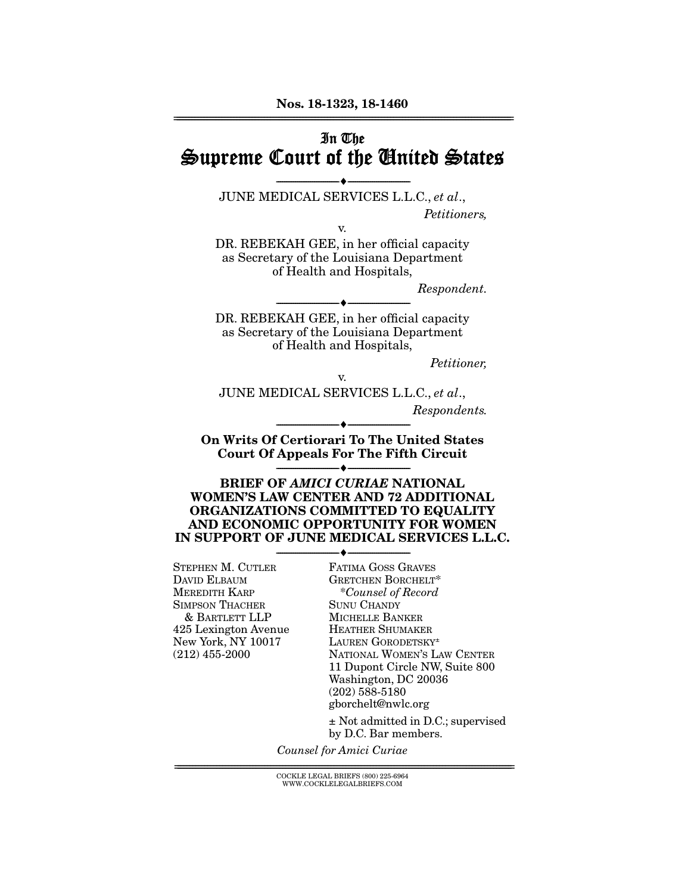## In The Supreme Court of the United States

--------------------------------- --------------------------------- JUNE MEDICAL SERVICES L.L.C., *et al*., *Petitioners,* 

v.

DR. REBEKAH GEE, in her official capacity as Secretary of the Louisiana Department of Health and Hospitals,

*Respondent.* 

DR. REBEKAH GEE, in her official capacity as Secretary of the Louisiana Department of Health and Hospitals,

--------------------------------- ---------------------------------

*Petitioner,* 

v.

JUNE MEDICAL SERVICES L.L.C., *et al*.,

*Respondents.* 

On Writs Of Certiorari To The United States Court Of Appeals For The Fifth Circuit --------------------------------- ---------------------------------

--------------------------------- ---------------------------------

BRIEF OF *AMICI CURIAE* NATIONAL WOMEN'S LAW CENTER AND 72 ADDITIONAL ORGANIZATIONS COMMITTED TO EQUALITY AND ECONOMIC OPPORTUNITY FOR WOMEN IN SUPPORT OF JUNE MEDICAL SERVICES L.L.C.

--------------------------------- ---------------------------------

STEPHEN M. CUTLER DAVID ELBAUM MEREDITH KARP SIMPSON THACHER & BARTLETT LLP 425 Lexington Avenue New York, NY 10017 (212) 455-2000

FATIMA GOSS GRAVES GRETCHEN BORCHELT\* \**Counsel of Record* SUNU CHANDY MICHELLE BANKER HEATHER SHUMAKER LAUREN GORODETSKY± NATIONAL WOMEN'S LAW CENTER 11 Dupont Circle NW, Suite 800 Washington, DC 20036 (202) 588-5180 gborchelt@nwlc.org ± Not admitted in D.C.; supervised

by D.C. Bar members.

*Counsel for Amici Curiae* 

 ${ \rm COCKLE}$  LEGAL BRIEFS (800) 225-6964 WWW.COCKLELEGALBRIEFS.COM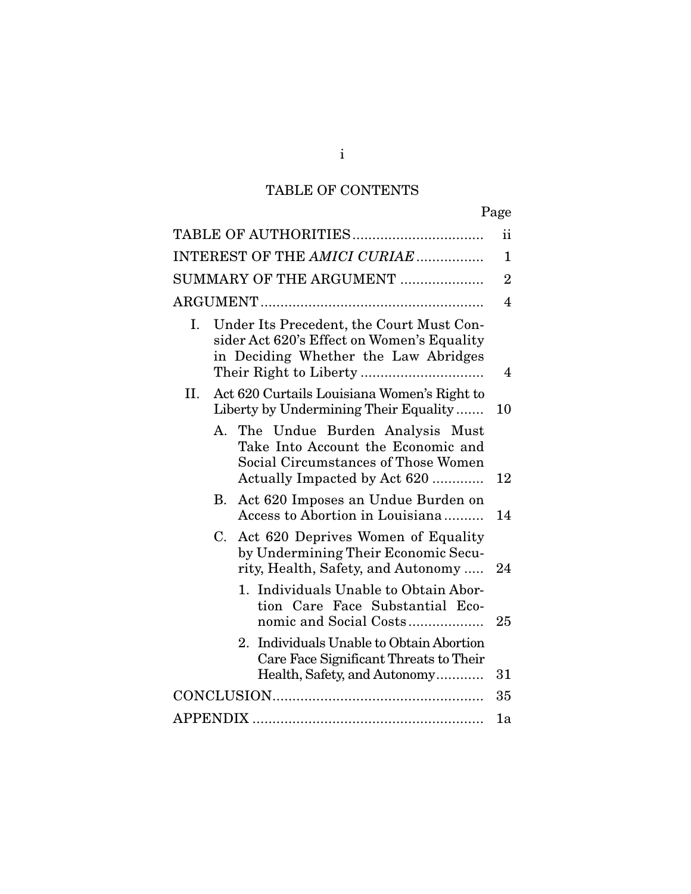# TABLE OF CONTENTS

|--|

|                                                                                                                                                   | ii                      |
|---------------------------------------------------------------------------------------------------------------------------------------------------|-------------------------|
| INTEREST OF THE AMICI CURIAE                                                                                                                      | $\mathbf{1}$            |
| SUMMARY OF THE ARGUMENT                                                                                                                           | $\overline{2}$          |
|                                                                                                                                                   | $\overline{\mathbf{4}}$ |
| Under Its Precedent, the Court Must Con-<br>I.<br>sider Act 620's Effect on Women's Equality<br>in Deciding Whether the Law Abridges              | $\overline{4}$          |
| Act 620 Curtails Louisiana Women's Right to<br>II.<br>Liberty by Undermining Their Equality                                                       | 10                      |
| А.<br>The Undue Burden Analysis Must<br>Take Into Account the Economic and<br>Social Circumstances of Those Women<br>Actually Impacted by Act 620 | 12                      |
| Act 620 Imposes an Undue Burden on<br>В.<br>Access to Abortion in Louisiana                                                                       | 14                      |
| $C_{\cdot}$<br>Act 620 Deprives Women of Equality<br>by Undermining Their Economic Secu-<br>rity, Health, Safety, and Autonomy                    | 24                      |
| 1. Individuals Unable to Obtain Abor-<br>tion Care Face Substantial Eco-<br>nomic and Social Costs                                                | 25                      |
| 2. Individuals Unable to Obtain Abortion<br>Care Face Significant Threats to Their<br>Health, Safety, and Autonomy                                | 31                      |
|                                                                                                                                                   | 35                      |
|                                                                                                                                                   | 1a                      |

i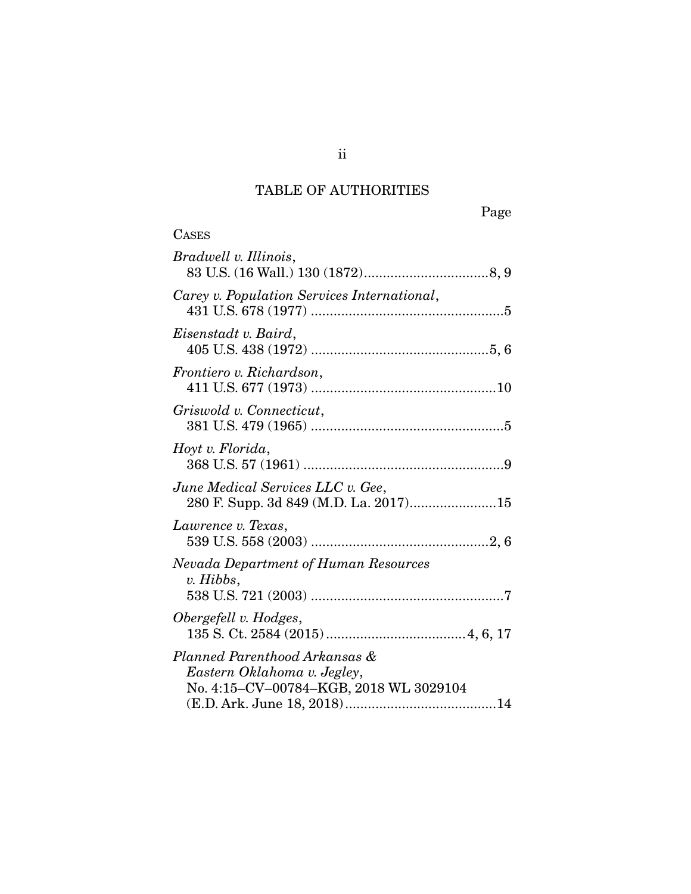# TABLE OF AUTHORITIES

**CASES** 

| Bradwell v. Illinois,                                                                                  |
|--------------------------------------------------------------------------------------------------------|
| Carey v. Population Services International,                                                            |
| Eisenstadt v. Baird,                                                                                   |
| Frontiero v. Richardson,                                                                               |
| Griswold v. Connecticut,                                                                               |
| Hoyt v. Florida,                                                                                       |
| June Medical Services LLC v. Gee,<br>280 F. Supp. 3d 849 (M.D. La. 2017)15                             |
| Lawrence v. Texas,                                                                                     |
| Nevada Department of Human Resources<br>v. Hibbs,                                                      |
| Obergefell v. Hodges,                                                                                  |
| Planned Parenthood Arkansas &<br>Eastern Oklahoma v. Jegley,<br>No. 4:15-CV-00784-KGB, 2018 WL 3029104 |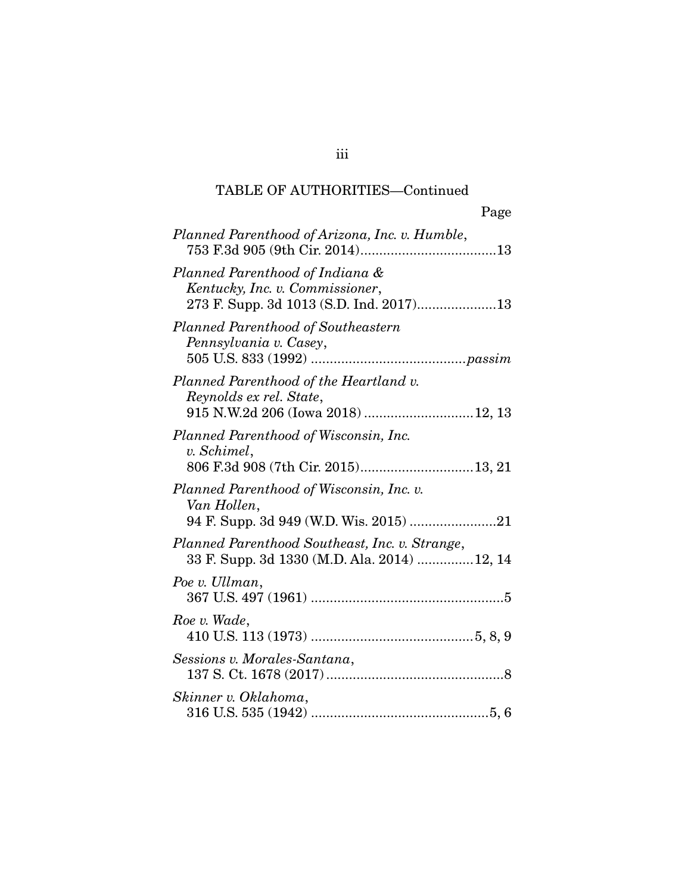| Page                                                                                                          |
|---------------------------------------------------------------------------------------------------------------|
| Planned Parenthood of Arizona, Inc. v. Humble,                                                                |
| Planned Parenthood of Indiana &<br>Kentucky, Inc. v. Commissioner,<br>273 F. Supp. 3d 1013 (S.D. Ind. 2017)13 |
| Planned Parenthood of Southeastern<br>Pennsylvania v. Casey,                                                  |
| Planned Parenthood of the Heartland v.<br>Reynolds ex rel. State,<br>915 N.W.2d 206 (Iowa 2018)  12, 13       |
| Planned Parenthood of Wisconsin, Inc.<br>v. Schimel,                                                          |
| Planned Parenthood of Wisconsin, Inc. v.<br>Van Hollen,                                                       |
| Planned Parenthood Southeast, Inc. v. Strange,<br>33 F. Supp. 3d 1330 (M.D. Ala. 2014)  12, 14                |
| Poe v. Ullman,                                                                                                |
| Roe v. Wade,                                                                                                  |
| Sessions v. Morales-Santana,                                                                                  |
| Skinner v. Oklahoma,                                                                                          |

iii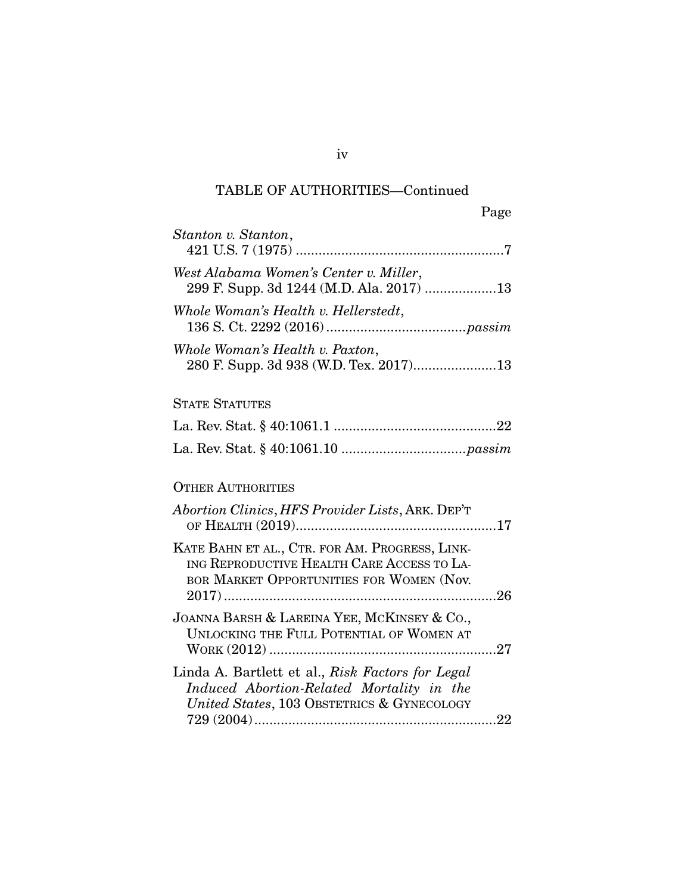| Page                                                                                                                                        |
|---------------------------------------------------------------------------------------------------------------------------------------------|
| Stanton v. Stanton,                                                                                                                         |
| West Alabama Women's Center v. Miller,<br>299 F. Supp. 3d 1244 (M.D. Ala. 2017) 13                                                          |
| Whole Woman's Health v. Hellerstedt,                                                                                                        |
| Whole Woman's Health v. Paxton,                                                                                                             |
| <b>STATE STATUTES</b>                                                                                                                       |
|                                                                                                                                             |
|                                                                                                                                             |
| <b>OTHER AUTHORITIES</b>                                                                                                                    |
| Abortion Clinics, HFS Provider Lists, ARK. DEP'T                                                                                            |
| KATE BAHN ET AL., CTR. FOR AM. PROGRESS, LINK-<br>ING REPRODUCTIVE HEALTH CARE ACCESS TO LA-<br>BOR MARKET OPPORTUNITIES FOR WOMEN (Nov.    |
| JOANNA BARSH & LAREINA YEE, MCKINSEY & Co.,<br>UNLOCKING THE FULL POTENTIAL OF WOMEN AT                                                     |
| Linda A. Bartlett et al., Risk Factors for Legal<br>Induced Abortion-Related Mortality in the<br>United States, 103 OBSTETRICS & GYNECOLOGY |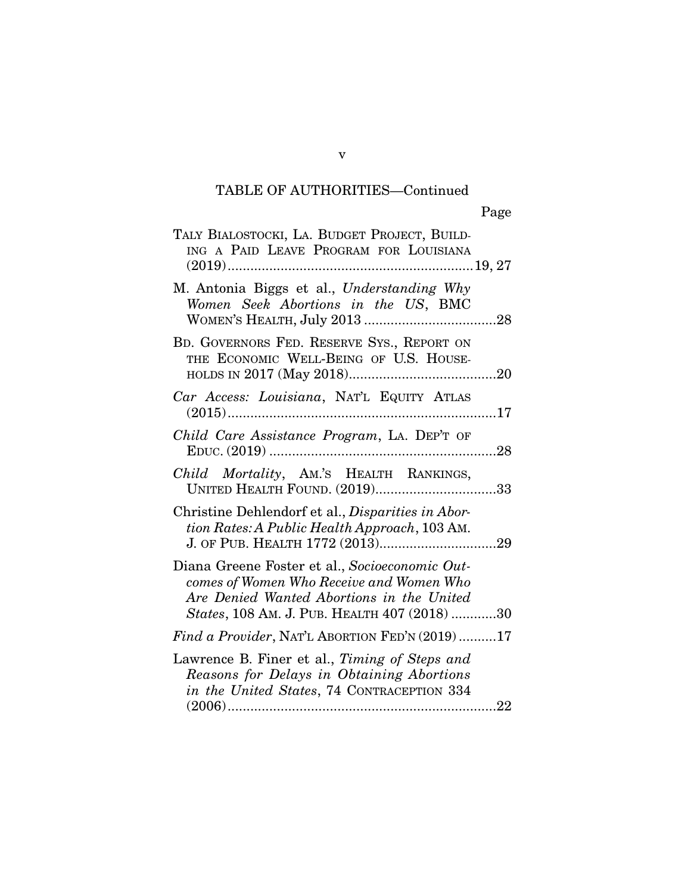| TALY BIALOSTOCKI, LA. BUDGET PROJECT, BUILD-<br>ING A PAID LEAVE PROGRAM FOR LOUISIANA                                                                                                  |
|-----------------------------------------------------------------------------------------------------------------------------------------------------------------------------------------|
| M. Antonia Biggs et al., Understanding Why<br>Women Seek Abortions in the US, BMC                                                                                                       |
| BD. GOVERNORS FED. RESERVE SYS., REPORT ON<br>THE ECONOMIC WELL-BEING OF U.S. HOUSE-                                                                                                    |
| Car Access: Louisiana, NAT'L EQUITY ATLAS<br>$(2015)$                                                                                                                                   |
| Child Care Assistance Program, LA. DEP'T OF<br>$E$ DUC. $(2019)$                                                                                                                        |
| Child Mortality, AM.'S HEALTH RANKINGS,<br>UNITED HEALTH FOUND. (2019)33                                                                                                                |
| Christine Dehlendorf et al., <i>Disparities in Abor-</i><br>tion Rates: A Public Health Approach, 103 AM.                                                                               |
| Diana Greene Foster et al., Socioeconomic Out-<br>comes of Women Who Receive and Women Who<br>Are Denied Wanted Abortions in the United<br>States, 108 AM. J. PUB. HEALTH 407 (2018) 30 |
| Find a Provider, NAT'L ABORTION FED'N (2019)17                                                                                                                                          |
| Lawrence B. Finer et al., Timing of Steps and<br>Reasons for Delays in Obtaining Abortions<br>in the United States, 74 CONTRACEPTION 334                                                |
|                                                                                                                                                                                         |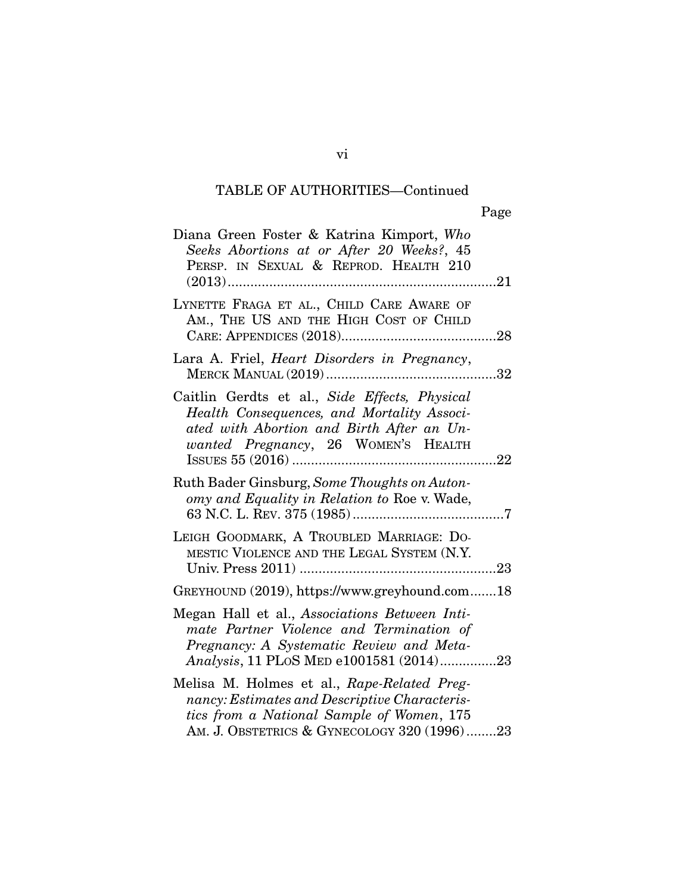| Diana Green Foster & Katrina Kimport, Who<br>Seeks Abortions at or After 20 Weeks?, 45<br>PERSP. IN SEXUAL & REPROD. HEALTH 210                                                                           |
|-----------------------------------------------------------------------------------------------------------------------------------------------------------------------------------------------------------|
| LYNETTE FRAGA ET AL., CHILD CARE AWARE OF<br>AM., THE US AND THE HIGH COST OF CHILD                                                                                                                       |
| Lara A. Friel, <i>Heart Disorders in Pregnancy</i> ,<br><b>MERCK MANUAL (2019) </b><br>$\dots$ 32                                                                                                         |
| Caitlin Gerdts et al., Side Effects, Physical<br>Health Consequences, and Mortality Associ-<br>ated with Abortion and Birth After an Un-<br>wanted Pregnancy, 26 WOMEN'S HEALTH<br>ISSUES 55 (2016)<br>22 |
| Ruth Bader Ginsburg, Some Thoughts on Auton-<br>omy and Equality in Relation to Roe v. Wade,                                                                                                              |
| LEIGH GOODMARK, A TROUBLED MARRIAGE: DO-<br>MESTIC VIOLENCE AND THE LEGAL SYSTEM (N.Y.                                                                                                                    |
| GREYHOUND (2019), https://www.greyhound.com18                                                                                                                                                             |
| Megan Hall et al., Associations Between Inti-<br>mate Partner Violence and Termination of<br>Pregnancy: A Systematic Review and Meta-<br>Analysis, 11 PLoS MED e1001581 (2014)23                          |
| Melisa M. Holmes et al., Rape-Related Preg-<br>nancy: Estimates and Descriptive Characteris-<br>tics from a National Sample of Women, 175<br>AM. J. OBSTETRICS & GYNECOLOGY 320 (1996)23                  |

vi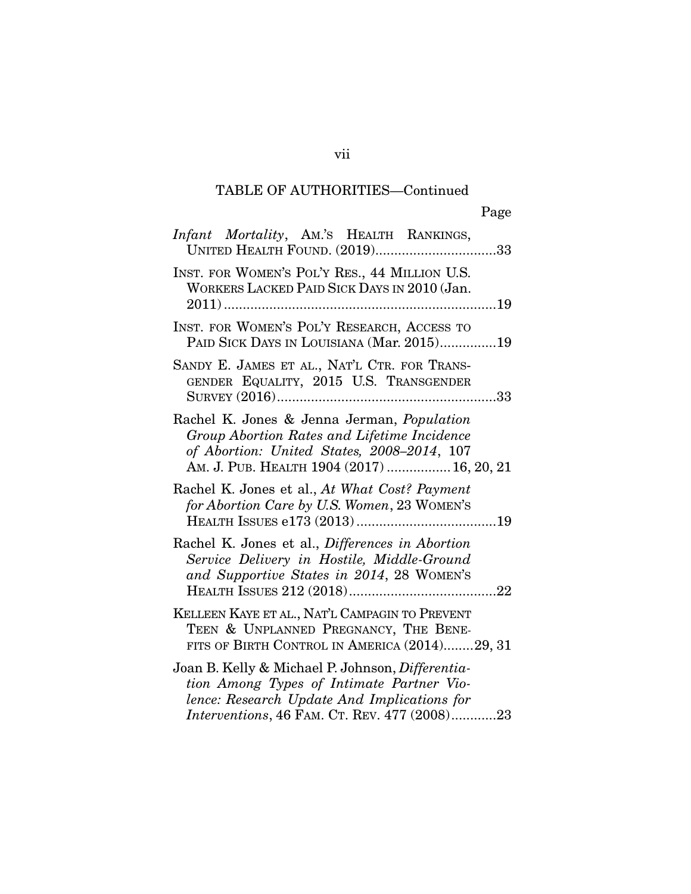| Infant Mortality, AM.'S HEALTH RANKINGS,<br>UNITED HEALTH FOUND. (2019)33                                                                                                                    |
|----------------------------------------------------------------------------------------------------------------------------------------------------------------------------------------------|
| INST. FOR WOMEN'S POL'Y RES., 44 MILLION U.S.<br>WORKERS LACKED PAID SICK DAYS IN 2010 (Jan.                                                                                                 |
| INST. FOR WOMEN'S POL'Y RESEARCH, ACCESS TO<br>PAID SICK DAYS IN LOUISIANA (Mar. 2015)19                                                                                                     |
| SANDY E. JAMES ET AL., NAT'L CTR. FOR TRANS-<br>GENDER EQUALITY, 2015 U.S. TRANSGENDER                                                                                                       |
| Rachel K. Jones & Jenna Jerman, Population<br>Group Abortion Rates and Lifetime Incidence<br>of Abortion: United States, 2008-2014, 107<br>AM. J. PUB. HEALTH 1904 (2017)  16, 20, 21        |
| Rachel K. Jones et al., At What Cost? Payment<br>for Abortion Care by U.S. Women, 23 WOMEN'S                                                                                                 |
| Rachel K. Jones et al., Differences in Abortion<br>Service Delivery in Hostile, Middle-Ground<br>and Supportive States in 2014, 28 WOMEN'S                                                   |
| KELLEEN KAYE ET AL., NAT'L CAMPAGIN TO PREVENT<br>TEEN & UNPLANNED PREGNANCY, THE BENE-<br>FITS OF BIRTH CONTROL IN AMERICA (2014)29, 31                                                     |
| Joan B. Kelly & Michael P. Johnson, Differentia-<br>tion Among Types of Intimate Partner Vio-<br>lence: Research Update And Implications for<br>Interventions, 46 FAM. CT. REV. 477 (2008)23 |

vii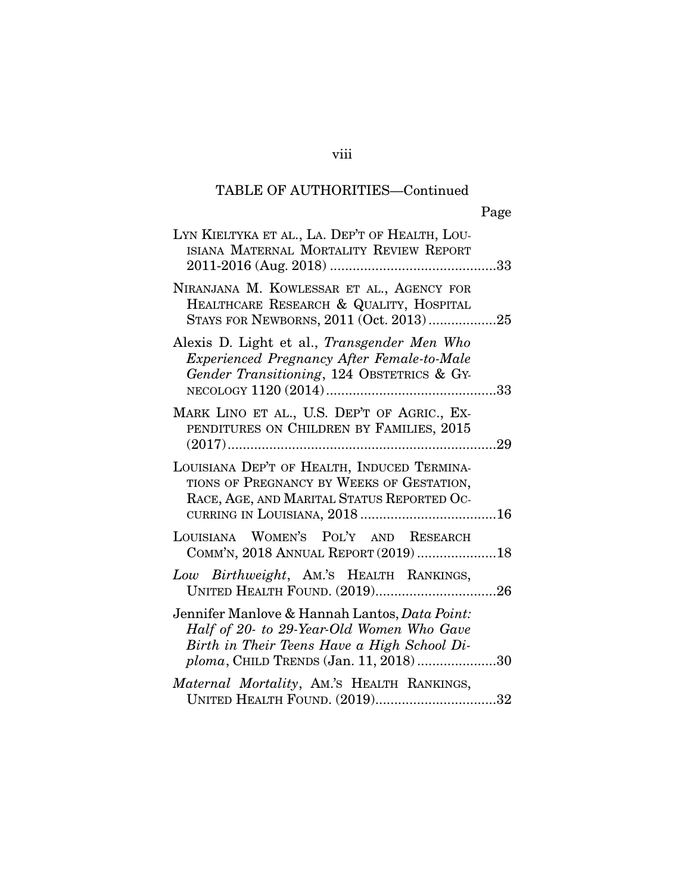| Page                                                                                                                                                                                              |
|---------------------------------------------------------------------------------------------------------------------------------------------------------------------------------------------------|
| LYN KIELTYKA ET AL., LA. DEP'T OF HEALTH, LOU-<br>ISIANA MATERNAL MORTALITY REVIEW REPORT                                                                                                         |
| NIRANJANA M. KOWLESSAR ET AL., AGENCY FOR<br>HEALTHCARE RESEARCH & QUALITY, HOSPITAL<br>STAYS FOR NEWBORNS, 2011 (Oct. 2013)25                                                                    |
| Alexis D. Light et al., Transgender Men Who<br>Experienced Pregnancy After Female-to-Male<br>Gender Transitioning, 124 OBSTETRICS & GY-                                                           |
| MARK LINO ET AL., U.S. DEP'T OF AGRIC., EX-<br>PENDITURES ON CHILDREN BY FAMILIES, 2015                                                                                                           |
| LOUISIANA DEP'T OF HEALTH, INDUCED TERMINA-<br>TIONS OF PREGNANCY BY WEEKS OF GESTATION,<br>RACE, AGE, AND MARITAL STATUS REPORTED OC-                                                            |
| LOUISIANA WOMEN'S POL'Y AND RESEARCH<br>COMM'N, 2018 ANNUAL REPORT (2019) 18                                                                                                                      |
| Low Birthweight, Am.'s HEALTH RANKINGS,<br>UNITED HEALTH FOUND. (2019)26                                                                                                                          |
| Jennifer Manlove & Hannah Lantos, <i>Data Point:</i><br>Half of 20- to 29-Year-Old Women Who Gave<br>Birth in Their Teens Have a High School Di-<br><i>ploma</i> , CHILD TRENDS (Jan. 11, 2018)30 |
| Maternal Mortality, AM.'S HEALTH RANKINGS,<br>UNITED HEALTH FOUND. (2019)32                                                                                                                       |

## viii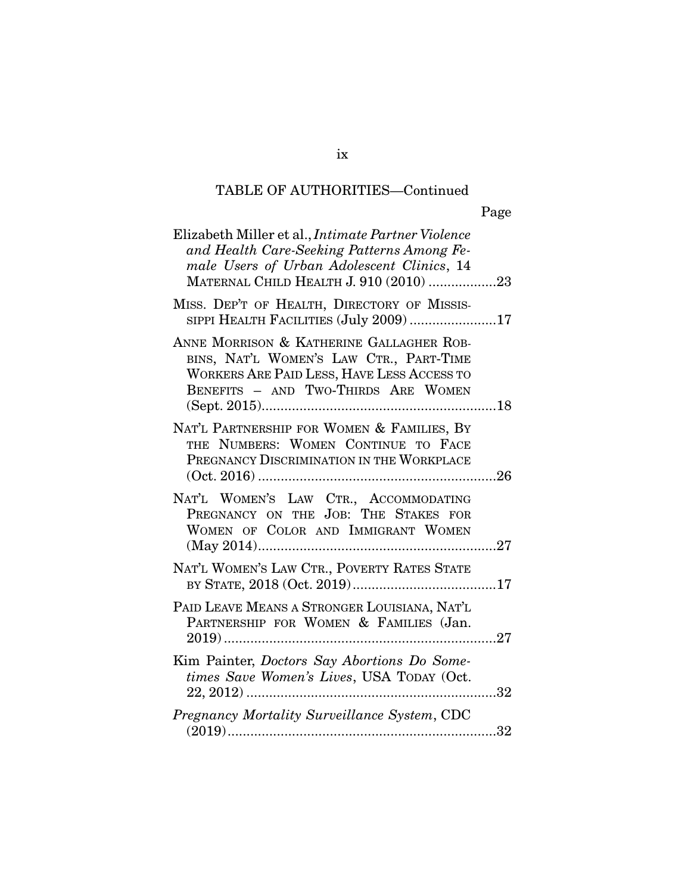| Elizabeth Miller et al., <i>Intimate Partner Violence</i><br>and Health Care-Seeking Patterns Among Fe-<br>male Users of Urban Adolescent Clinics, 14<br>MATERNAL CHILD HEALTH J. 910 (2010) 23 |
|-------------------------------------------------------------------------------------------------------------------------------------------------------------------------------------------------|
| MISS. DEP'T OF HEALTH, DIRECTORY OF MISSIS-<br>SIPPI HEALTH FACILITIES (July 2009) 17                                                                                                           |
| ANNE MORRISON & KATHERINE GALLAGHER ROB-<br>BINS, NAT'L WOMEN'S LAW CTR., PART-TIME<br><b>WORKERS ARE PAID LESS, HAVE LESS ACCESS TO</b><br>BENEFITS - AND TWO-THIRDS ARE WOMEN                 |
| NAT'L PARTNERSHIP FOR WOMEN & FAMILIES, BY<br>THE NUMBERS: WOMEN CONTINUE TO FACE<br>PREGNANCY DISCRIMINATION IN THE WORKPLACE                                                                  |
| NAT'L WOMEN'S LAW CTR., ACCOMMODATING<br>PREGNANCY ON THE JOB: THE STAKES FOR<br>WOMEN OF COLOR AND IMMIGRANT WOMEN                                                                             |
| NAT'L WOMEN'S LAW CTR., POVERTY RATES STATE                                                                                                                                                     |
| PAID LEAVE MEANS A STRONGER LOUISIANA, NAT'L<br>PARTNERSHIP FOR WOMEN & FAMILIES (Jan.                                                                                                          |
| Kim Painter, Doctors Say Abortions Do Some-<br>times Save Women's Lives, USA TODAY (Oct.<br>32                                                                                                  |
| Pregnancy Mortality Surveillance System, CDC<br>32                                                                                                                                              |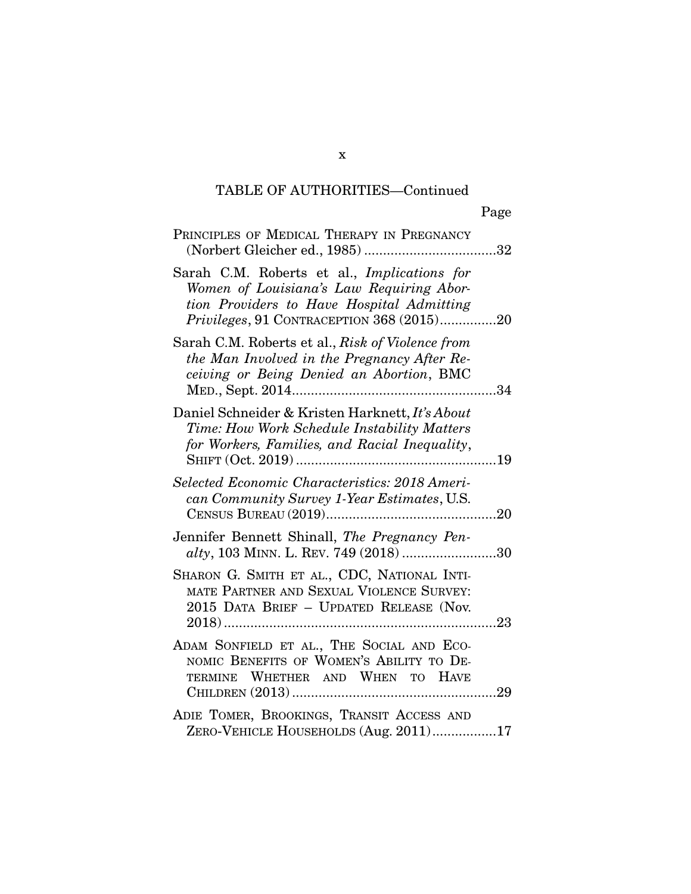| PRINCIPLES OF MEDICAL THERAPY IN PREGNANCY                                                                                                                                        |
|-----------------------------------------------------------------------------------------------------------------------------------------------------------------------------------|
| Sarah C.M. Roberts et al., Implications for<br>Women of Louisiana's Law Requiring Abor-<br>tion Providers to Have Hospital Admitting<br>Privileges, 91 CONTRACEPTION 368 (2015)20 |
| Sarah C.M. Roberts et al., Risk of Violence from<br>the Man Involved in the Pregnancy After Re-<br>ceiving or Being Denied an Abortion, BMC                                       |
| Daniel Schneider & Kristen Harknett, It's About<br>Time: How Work Schedule Instability Matters<br>for Workers, Families, and Racial Inequality,                                   |
| Selected Economic Characteristics: 2018 Ameri-<br>can Community Survey 1-Year Estimates, U.S.                                                                                     |
| Jennifer Bennett Shinall, The Pregnancy Pen-<br>alty, 103 MINN. L. REV. 749 (2018) 30                                                                                             |
| SHARON G. SMITH ET AL., CDC, NATIONAL INTI-<br>MATE PARTNER AND SEXUAL VIOLENCE SURVEY:<br>2015 DATA BRIEF - UPDATED RELEASE (Nov.                                                |
| ADAM SONFIELD ET AL., THE SOCIAL AND ECO-<br>NOMIC BENEFITS OF WOMEN'S ABILITY TO DE-<br>TERMINE WHETHER AND WHEN TO HAVE                                                         |
| ADIE TOMER, BROOKINGS, TRANSIT ACCESS AND<br>ZERO-VEHICLE HOUSEHOLDS (Aug. 2011)17                                                                                                |

x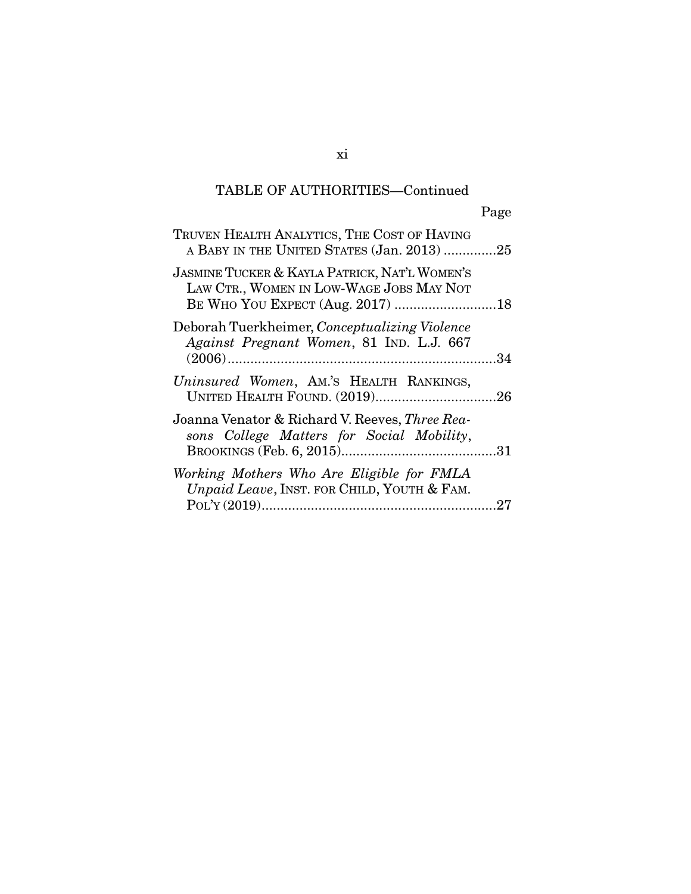| TRUVEN HEALTH ANALYTICS, THE COST OF HAVING<br>A BABY IN THE UNITED STATES (Jan. 2013) 25                                                |     |
|------------------------------------------------------------------------------------------------------------------------------------------|-----|
| <b>JASMINE TUCKER &amp; KAYLA PATRICK, NAT'L WOMEN'S</b><br>LAW CTR., WOMEN IN LOW-WAGE JOBS MAY NOT<br>BE WHO YOU EXPECT (Aug. 2017) 18 |     |
| Deborah Tuerkheimer, Conceptualizing Violence<br>Against Pregnant Women, 81 IND. L.J. 667                                                |     |
| Uninsured Women, AM.'S HEALTH RANKINGS,                                                                                                  |     |
| Joanna Venator & Richard V. Reeves, Three Rea-<br>sons College Matters for Social Mobility,                                              |     |
| Working Mothers Who Are Eligible for FMLA<br>Unpaid Leave, INST. FOR CHILD, YOUTH & FAM.                                                 | .27 |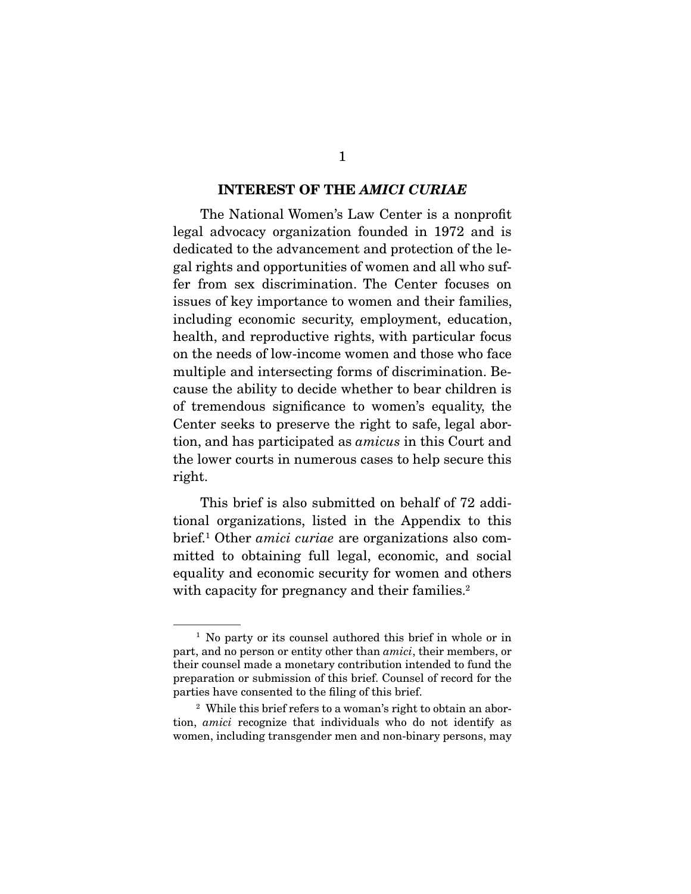#### INTEREST OF THE *AMICI CURIAE*

 The National Women's Law Center is a nonprofit legal advocacy organization founded in 1972 and is dedicated to the advancement and protection of the legal rights and opportunities of women and all who suffer from sex discrimination. The Center focuses on issues of key importance to women and their families, including economic security, employment, education, health, and reproductive rights, with particular focus on the needs of low-income women and those who face multiple and intersecting forms of discrimination. Because the ability to decide whether to bear children is of tremendous significance to women's equality, the Center seeks to preserve the right to safe, legal abortion, and has participated as *amicus* in this Court and the lower courts in numerous cases to help secure this right.

 This brief is also submitted on behalf of 72 additional organizations, listed in the Appendix to this brief.1 Other *amici curiae* are organizations also committed to obtaining full legal, economic, and social equality and economic security for women and others with capacity for pregnancy and their families.<sup>2</sup>

<sup>&</sup>lt;sup>1</sup> No party or its counsel authored this brief in whole or in part, and no person or entity other than *amici*, their members, or their counsel made a monetary contribution intended to fund the preparation or submission of this brief. Counsel of record for the parties have consented to the filing of this brief.

<sup>&</sup>lt;sup>2</sup> While this brief refers to a woman's right to obtain an abortion, *amici* recognize that individuals who do not identify as women, including transgender men and non-binary persons, may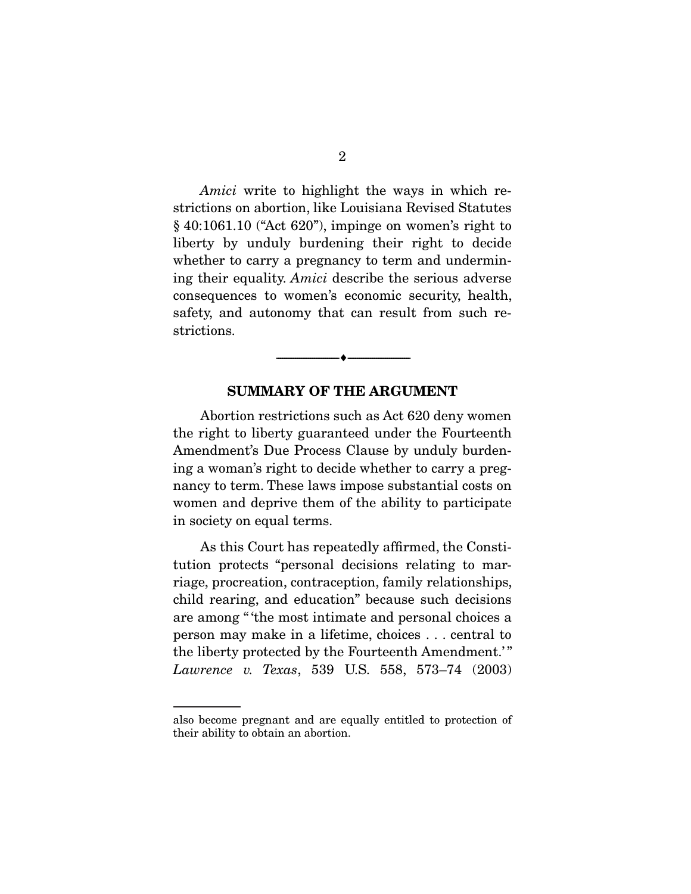*Amici* write to highlight the ways in which restrictions on abortion, like Louisiana Revised Statutes § 40:1061.10 ("Act 620"), impinge on women's right to liberty by unduly burdening their right to decide whether to carry a pregnancy to term and undermining their equality. *Amici* describe the serious adverse consequences to women's economic security, health, safety, and autonomy that can result from such restrictions.

#### SUMMARY OF THE ARGUMENT

--------------------------------- ---------------------------------

 Abortion restrictions such as Act 620 deny women the right to liberty guaranteed under the Fourteenth Amendment's Due Process Clause by unduly burdening a woman's right to decide whether to carry a pregnancy to term. These laws impose substantial costs on women and deprive them of the ability to participate in society on equal terms.

 As this Court has repeatedly affirmed, the Constitution protects "personal decisions relating to marriage, procreation, contraception, family relationships, child rearing, and education" because such decisions are among " 'the most intimate and personal choices a person may make in a lifetime, choices . . . central to the liberty protected by the Fourteenth Amendment.' " *Lawrence v. Texas*, 539 U.S. 558, 573–74 (2003)

also become pregnant and are equally entitled to protection of their ability to obtain an abortion.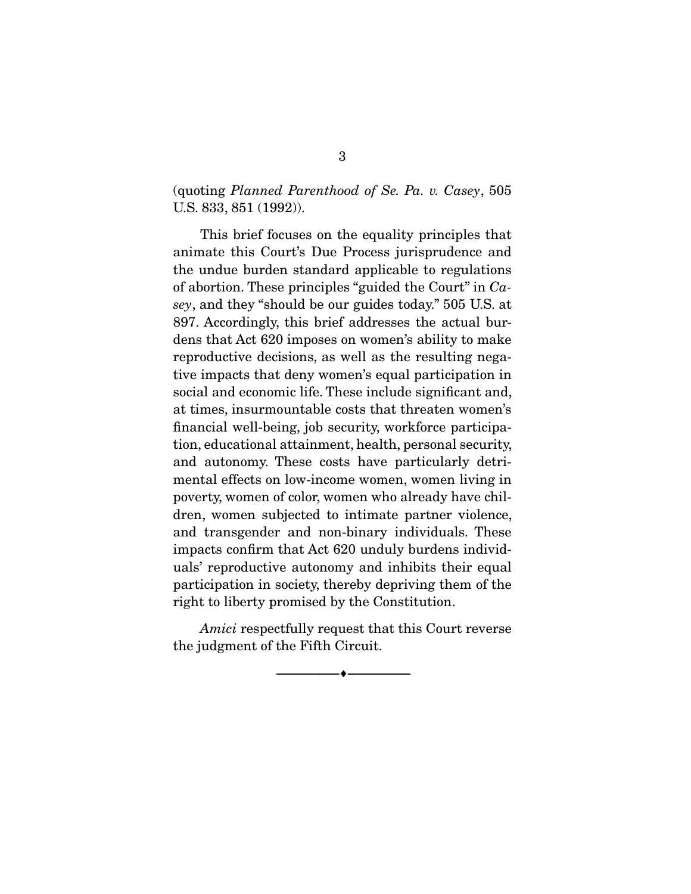### (quoting *Planned Parenthood of Se. Pa. v. Casey*, 505 U.S. 833, 851 (1992)).

 This brief focuses on the equality principles that animate this Court's Due Process jurisprudence and the undue burden standard applicable to regulations of abortion. These principles "guided the Court" in *Casey*, and they "should be our guides today." 505 U.S. at 897. Accordingly, this brief addresses the actual burdens that Act 620 imposes on women's ability to make reproductive decisions, as well as the resulting negative impacts that deny women's equal participation in social and economic life. These include significant and, at times, insurmountable costs that threaten women's financial well-being, job security, workforce participation, educational attainment, health, personal security, and autonomy. These costs have particularly detrimental effects on low-income women, women living in poverty, women of color, women who already have children, women subjected to intimate partner violence, and transgender and non-binary individuals. These impacts confirm that Act 620 unduly burdens individuals' reproductive autonomy and inhibits their equal participation in society, thereby depriving them of the right to liberty promised by the Constitution.

*Amici* respectfully request that this Court reverse the judgment of the Fifth Circuit.

--------------------------------- ---------------------------------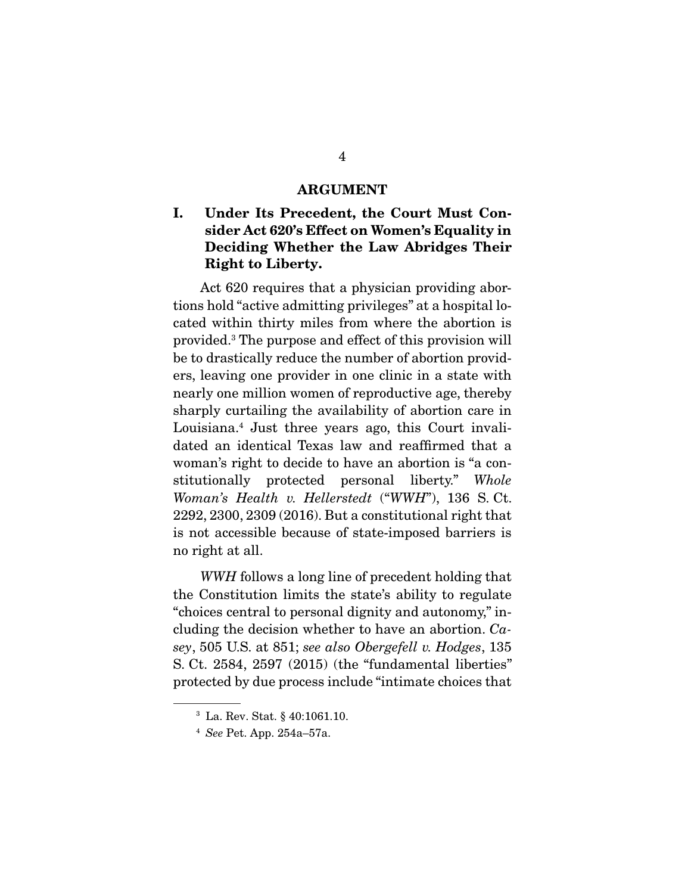#### ARGUMENT

### I. Under Its Precedent, the Court Must Consider Act 620's Effect on Women's Equality in Deciding Whether the Law Abridges Their Right to Liberty.

 Act 620 requires that a physician providing abortions hold "active admitting privileges" at a hospital located within thirty miles from where the abortion is provided.3 The purpose and effect of this provision will be to drastically reduce the number of abortion providers, leaving one provider in one clinic in a state with nearly one million women of reproductive age, thereby sharply curtailing the availability of abortion care in Louisiana.4 Just three years ago, this Court invalidated an identical Texas law and reaffirmed that a woman's right to decide to have an abortion is "a constitutionally protected personal liberty." *Whole Woman's Health v. Hellerstedt* ("*WWH*"), 136 S. Ct. 2292, 2300, 2309 (2016). But a constitutional right that is not accessible because of state-imposed barriers is no right at all.

*WWH* follows a long line of precedent holding that the Constitution limits the state's ability to regulate "choices central to personal dignity and autonomy," including the decision whether to have an abortion. *Casey*, 505 U.S. at 851; *see also Obergefell v. Hodges*, 135 S. Ct. 2584, 2597 (2015) (the "fundamental liberties" protected by due process include "intimate choices that

<sup>3</sup> La. Rev. Stat. § 40:1061.10.

<sup>4</sup> *See* Pet. App. 254a–57a.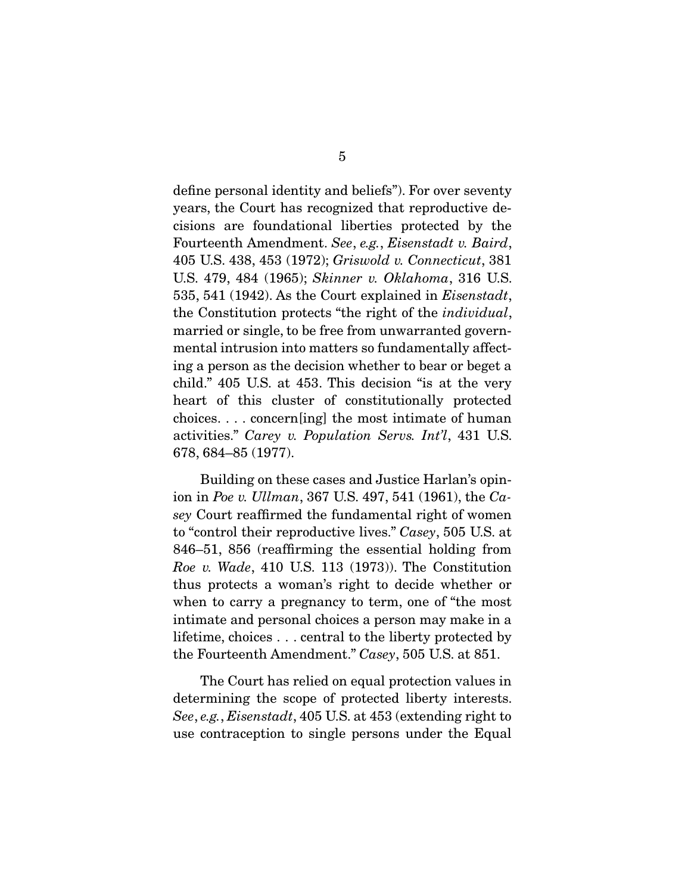define personal identity and beliefs"). For over seventy years, the Court has recognized that reproductive decisions are foundational liberties protected by the Fourteenth Amendment. *See*, *e.g.*, *Eisenstadt v. Baird*, 405 U.S. 438, 453 (1972); *Griswold v. Connecticut*, 381 U.S. 479, 484 (1965); *Skinner v. Oklahoma*, 316 U.S. 535, 541 (1942). As the Court explained in *Eisenstadt*, the Constitution protects "the right of the *individual*, married or single, to be free from unwarranted governmental intrusion into matters so fundamentally affecting a person as the decision whether to bear or beget a child." 405 U.S. at 453. This decision "is at the very heart of this cluster of constitutionally protected choices. . . . concern[ing] the most intimate of human activities." *Carey v. Population Servs. Int'l*, 431 U.S. 678, 684–85 (1977).

 Building on these cases and Justice Harlan's opinion in *Poe v. Ullman*, 367 U.S. 497, 541 (1961), the *Casey* Court reaffirmed the fundamental right of women to "control their reproductive lives." *Casey*, 505 U.S. at 846–51, 856 (reaffirming the essential holding from *Roe v. Wade*, 410 U.S. 113 (1973)). The Constitution thus protects a woman's right to decide whether or when to carry a pregnancy to term, one of "the most intimate and personal choices a person may make in a lifetime, choices . . . central to the liberty protected by the Fourteenth Amendment." *Casey*, 505 U.S. at 851.

 The Court has relied on equal protection values in determining the scope of protected liberty interests. *See*, *e.g.*, *Eisenstadt*, 405 U.S. at 453 (extending right to use contraception to single persons under the Equal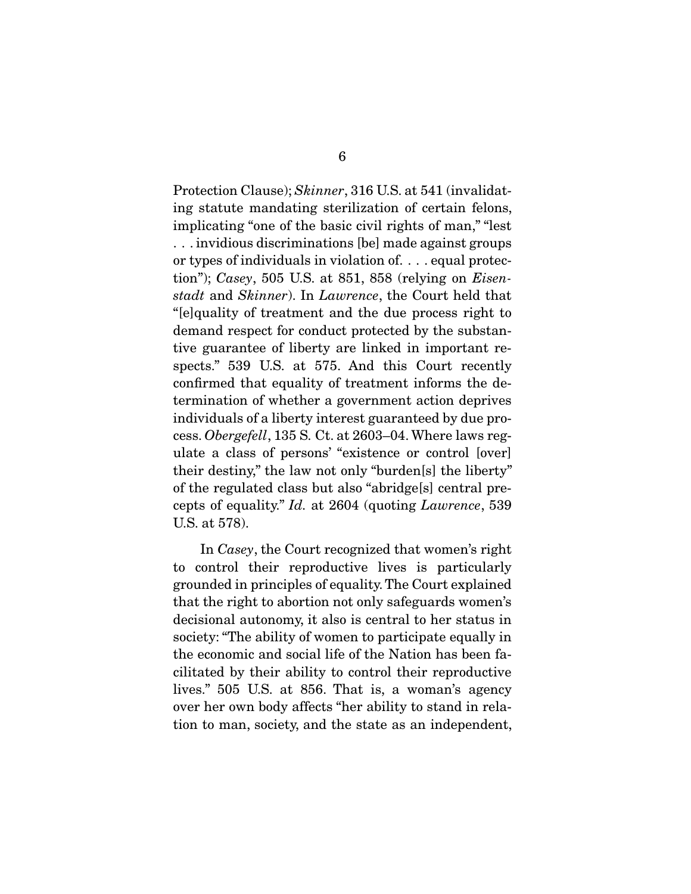Protection Clause); *Skinner*, 316 U.S. at 541 (invalidating statute mandating sterilization of certain felons, implicating "one of the basic civil rights of man," "lest . . . invidious discriminations [be] made against groups or types of individuals in violation of. . . . equal protection"); *Casey*, 505 U.S. at 851, 858 (relying on *Eisenstadt* and *Skinner*). In *Lawrence*, the Court held that "[e]quality of treatment and the due process right to demand respect for conduct protected by the substantive guarantee of liberty are linked in important respects." 539 U.S. at 575. And this Court recently confirmed that equality of treatment informs the determination of whether a government action deprives individuals of a liberty interest guaranteed by due process. *Obergefell*, 135 S. Ct. at 2603–04. Where laws regulate a class of persons' "existence or control [over] their destiny," the law not only "burden[s] the liberty" of the regulated class but also "abridge[s] central precepts of equality." *Id.* at 2604 (quoting *Lawrence*, 539 U.S. at 578).

 In *Casey*, the Court recognized that women's right to control their reproductive lives is particularly grounded in principles of equality. The Court explained that the right to abortion not only safeguards women's decisional autonomy, it also is central to her status in society: "The ability of women to participate equally in the economic and social life of the Nation has been facilitated by their ability to control their reproductive lives." 505 U.S. at 856. That is, a woman's agency over her own body affects "her ability to stand in relation to man, society, and the state as an independent,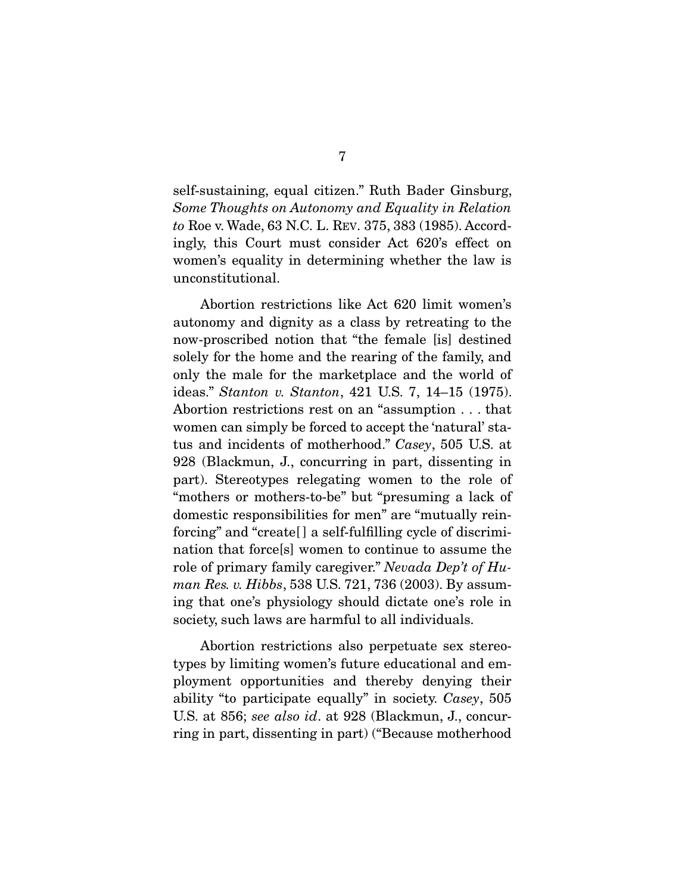self-sustaining, equal citizen." Ruth Bader Ginsburg, *Some Thoughts on Autonomy and Equality in Relation to* Roe v. Wade, 63 N.C. L. REV. 375, 383 (1985). Accordingly, this Court must consider Act 620's effect on women's equality in determining whether the law is unconstitutional.

 Abortion restrictions like Act 620 limit women's autonomy and dignity as a class by retreating to the now-proscribed notion that "the female [is] destined solely for the home and the rearing of the family, and only the male for the marketplace and the world of ideas." *Stanton v. Stanton*, 421 U.S. 7, 14–15 (1975). Abortion restrictions rest on an "assumption . . . that women can simply be forced to accept the 'natural' status and incidents of motherhood." *Casey*, 505 U.S. at 928 (Blackmun, J., concurring in part, dissenting in part). Stereotypes relegating women to the role of "mothers or mothers-to-be" but "presuming a lack of domestic responsibilities for men" are "mutually reinforcing" and "create[] a self-fulfilling cycle of discrimination that force[s] women to continue to assume the role of primary family caregiver." *Nevada Dep't of Human Res. v. Hibbs*, 538 U.S. 721, 736 (2003). By assuming that one's physiology should dictate one's role in society, such laws are harmful to all individuals.

 Abortion restrictions also perpetuate sex stereotypes by limiting women's future educational and employment opportunities and thereby denying their ability "to participate equally" in society. *Casey*, 505 U.S. at 856; *see also id*. at 928 (Blackmun, J., concurring in part, dissenting in part) ("Because motherhood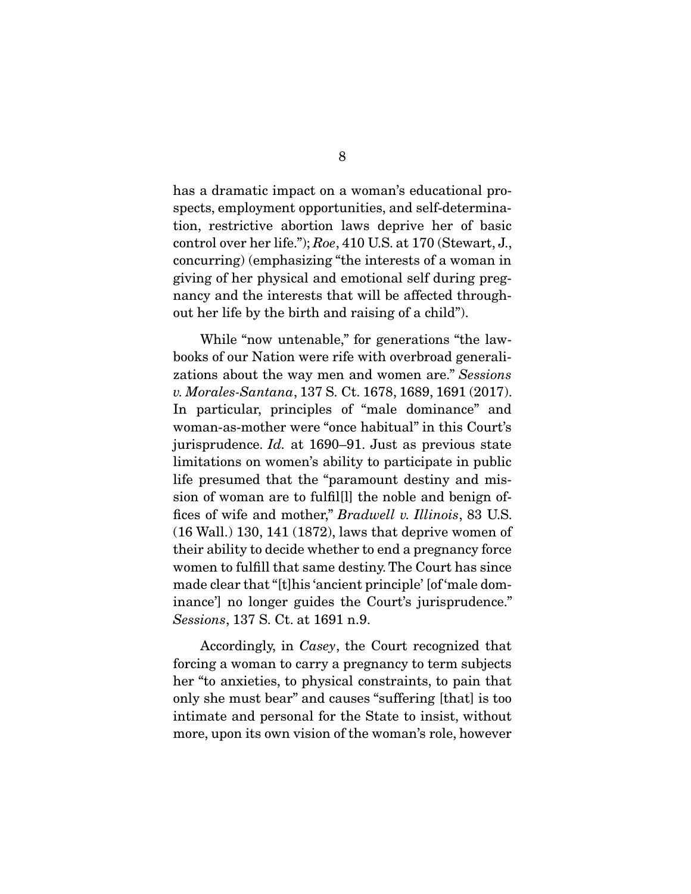has a dramatic impact on a woman's educational prospects, employment opportunities, and self-determination, restrictive abortion laws deprive her of basic control over her life."); *Roe*, 410 U.S. at 170 (Stewart, J., concurring) (emphasizing "the interests of a woman in giving of her physical and emotional self during pregnancy and the interests that will be affected throughout her life by the birth and raising of a child").

 While "now untenable," for generations "the lawbooks of our Nation were rife with overbroad generalizations about the way men and women are." *Sessions v. Morales-Santana*, 137 S. Ct. 1678, 1689, 1691 (2017). In particular, principles of "male dominance" and woman-as-mother were "once habitual" in this Court's jurisprudence. *Id.* at 1690–91. Just as previous state limitations on women's ability to participate in public life presumed that the "paramount destiny and mission of woman are to fulfil[l] the noble and benign offices of wife and mother," *Bradwell v. Illinois*, 83 U.S. (16 Wall.) 130, 141 (1872), laws that deprive women of their ability to decide whether to end a pregnancy force women to fulfill that same destiny. The Court has since made clear that "[t]his 'ancient principle' [of 'male dominance'] no longer guides the Court's jurisprudence." *Sessions*, 137 S. Ct. at 1691 n.9.

 Accordingly, in *Casey*, the Court recognized that forcing a woman to carry a pregnancy to term subjects her "to anxieties, to physical constraints, to pain that only she must bear" and causes "suffering [that] is too intimate and personal for the State to insist, without more, upon its own vision of the woman's role, however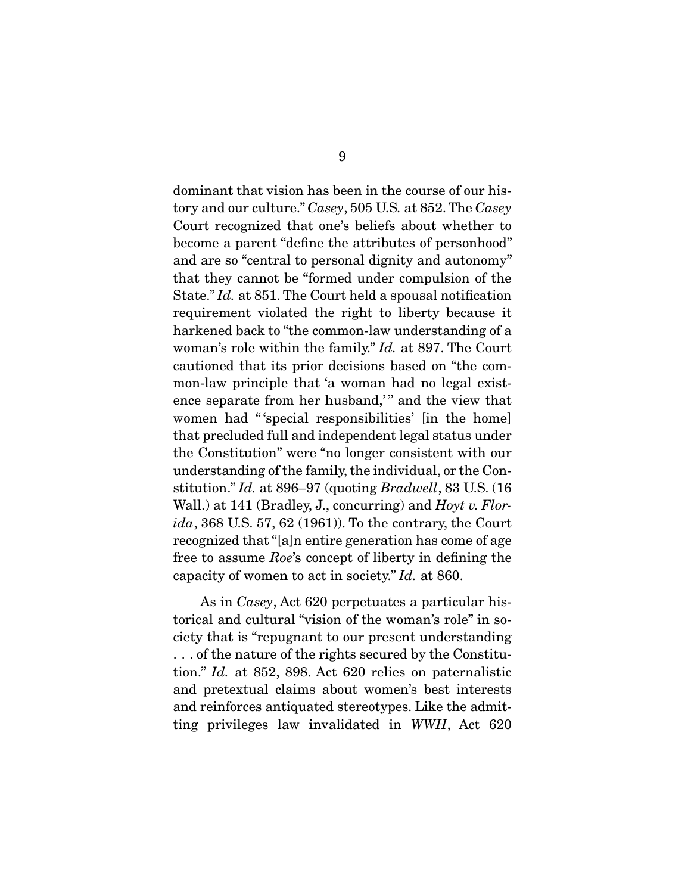dominant that vision has been in the course of our history and our culture." *Casey*, 505 U.S*.* at 852. The *Casey*  Court recognized that one's beliefs about whether to become a parent "define the attributes of personhood" and are so "central to personal dignity and autonomy" that they cannot be "formed under compulsion of the State." *Id.* at 851. The Court held a spousal notification requirement violated the right to liberty because it harkened back to "the common-law understanding of a woman's role within the family." *Id.* at 897. The Court cautioned that its prior decisions based on "the common-law principle that 'a woman had no legal existence separate from her husband," and the view that women had "'special responsibilities' [in the home] that precluded full and independent legal status under the Constitution" were "no longer consistent with our understanding of the family, the individual, or the Constitution." *Id.* at 896–97 (quoting *Bradwell*, 83 U.S. (16 Wall.) at 141 (Bradley, J., concurring) and *Hoyt v. Florida*, 368 U.S. 57, 62 (1961)). To the contrary, the Court recognized that "[a]n entire generation has come of age free to assume *Roe*'s concept of liberty in defining the capacity of women to act in society." *Id.* at 860.

 As in *Casey*, Act 620 perpetuates a particular historical and cultural "vision of the woman's role" in society that is "repugnant to our present understanding . . . of the nature of the rights secured by the Constitution." *Id.* at 852, 898. Act 620 relies on paternalistic and pretextual claims about women's best interests and reinforces antiquated stereotypes. Like the admitting privileges law invalidated in *WWH*, Act 620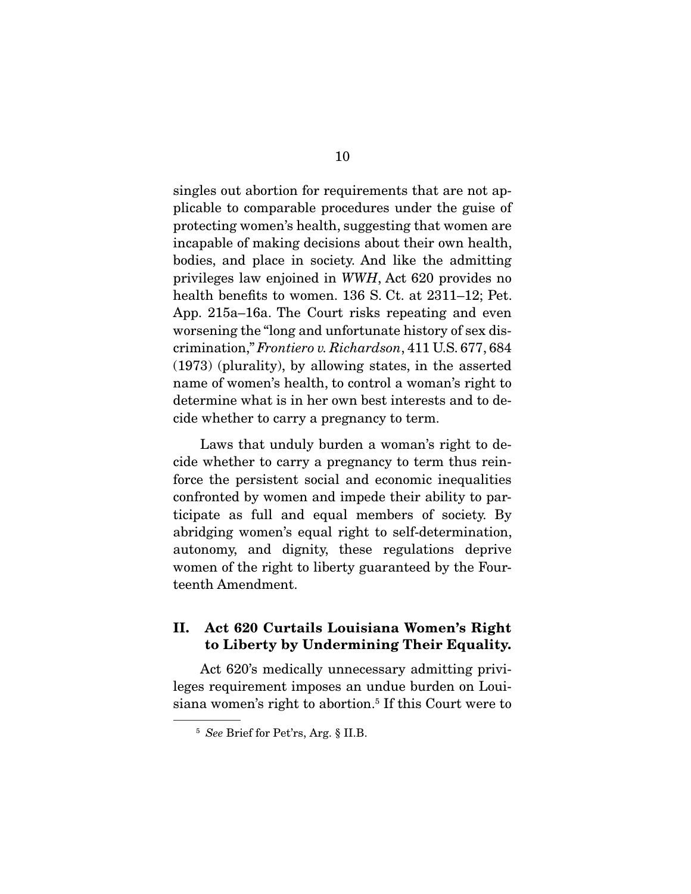singles out abortion for requirements that are not applicable to comparable procedures under the guise of protecting women's health, suggesting that women are incapable of making decisions about their own health, bodies, and place in society. And like the admitting privileges law enjoined in *WWH*, Act 620 provides no health benefits to women. 136 S. Ct. at 2311–12; Pet. App. 215a–16a. The Court risks repeating and even worsening the "long and unfortunate history of sex discrimination," *Frontiero v. Richardson*, 411 U.S. 677, 684 (1973) (plurality), by allowing states, in the asserted name of women's health, to control a woman's right to determine what is in her own best interests and to decide whether to carry a pregnancy to term.

 Laws that unduly burden a woman's right to decide whether to carry a pregnancy to term thus reinforce the persistent social and economic inequalities confronted by women and impede their ability to participate as full and equal members of society. By abridging women's equal right to self-determination, autonomy, and dignity, these regulations deprive women of the right to liberty guaranteed by the Fourteenth Amendment.

## II. Act 620 Curtails Louisiana Women's Right to Liberty by Undermining Their Equality.

 Act 620's medically unnecessary admitting privileges requirement imposes an undue burden on Louisiana women's right to abortion.<sup>5</sup> If this Court were to

<sup>5</sup> *See* Brief for Pet'rs, Arg. § II.B.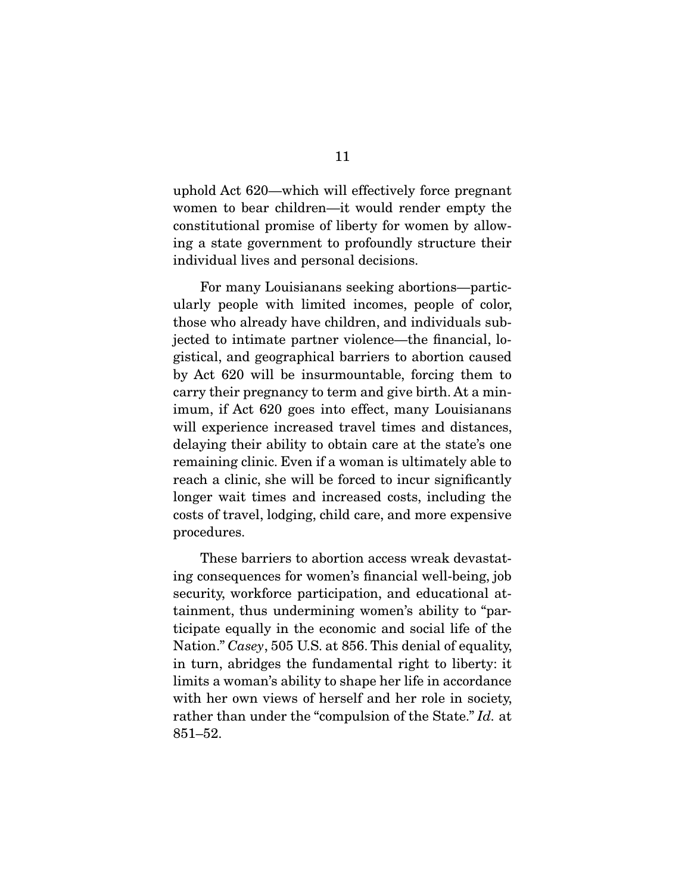uphold Act 620—which will effectively force pregnant women to bear children—it would render empty the constitutional promise of liberty for women by allowing a state government to profoundly structure their individual lives and personal decisions.

 For many Louisianans seeking abortions—particularly people with limited incomes, people of color, those who already have children, and individuals subjected to intimate partner violence—the financial, logistical, and geographical barriers to abortion caused by Act 620 will be insurmountable, forcing them to carry their pregnancy to term and give birth. At a minimum, if Act 620 goes into effect, many Louisianans will experience increased travel times and distances, delaying their ability to obtain care at the state's one remaining clinic. Even if a woman is ultimately able to reach a clinic, she will be forced to incur significantly longer wait times and increased costs, including the costs of travel, lodging, child care, and more expensive procedures.

 These barriers to abortion access wreak devastating consequences for women's financial well-being, job security, workforce participation, and educational attainment, thus undermining women's ability to "participate equally in the economic and social life of the Nation." *Casey*, 505 U.S. at 856. This denial of equality, in turn, abridges the fundamental right to liberty: it limits a woman's ability to shape her life in accordance with her own views of herself and her role in society, rather than under the "compulsion of the State." *Id.* at 851–52.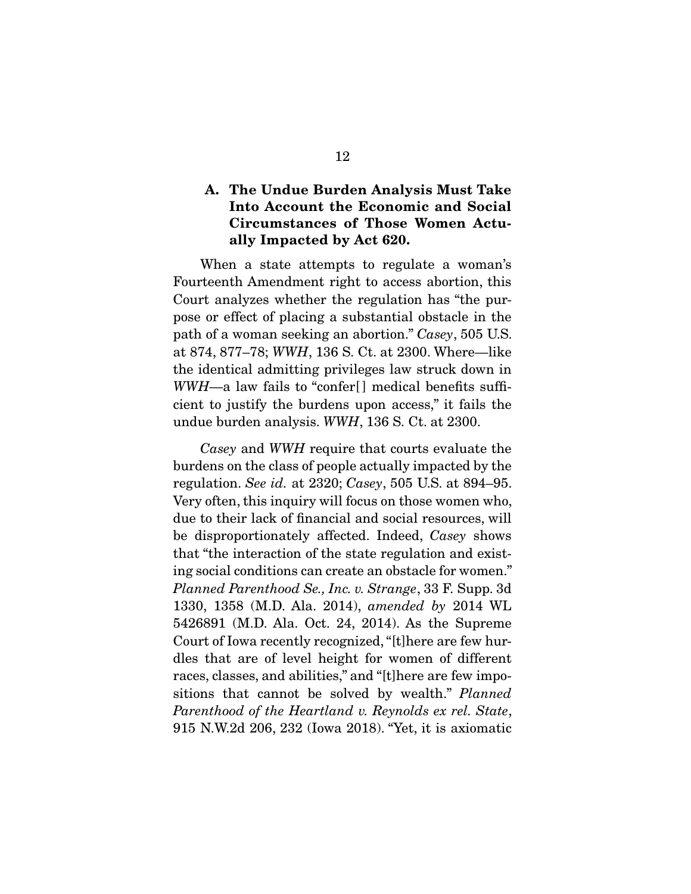### A. The Undue Burden Analysis Must Take Into Account the Economic and Social Circumstances of Those Women Actually Impacted by Act 620.

 When a state attempts to regulate a woman's Fourteenth Amendment right to access abortion, this Court analyzes whether the regulation has "the purpose or effect of placing a substantial obstacle in the path of a woman seeking an abortion." *Casey*, 505 U.S. at 874, 877–78; *WWH*, 136 S. Ct. at 2300. Where—like the identical admitting privileges law struck down in *WWH*—a law fails to "confer<sup>[]</sup> medical benefits sufficient to justify the burdens upon access," it fails the undue burden analysis. *WWH*, 136 S. Ct. at 2300.

*Casey* and *WWH* require that courts evaluate the burdens on the class of people actually impacted by the regulation. *See id.* at 2320; *Casey*, 505 U.S. at 894–95. Very often, this inquiry will focus on those women who, due to their lack of financial and social resources, will be disproportionately affected. Indeed, *Casey* shows that "the interaction of the state regulation and existing social conditions can create an obstacle for women." *Planned Parenthood Se., Inc. v. Strange*, 33 F. Supp. 3d 1330, 1358 (M.D. Ala. 2014), *amended by* 2014 WL 5426891 (M.D. Ala. Oct. 24, 2014). As the Supreme Court of Iowa recently recognized, "[t]here are few hurdles that are of level height for women of different races, classes, and abilities," and "[t]here are few impositions that cannot be solved by wealth." *Planned Parenthood of the Heartland v. Reynolds ex rel. State*, 915 N.W.2d 206, 232 (Iowa 2018). "Yet, it is axiomatic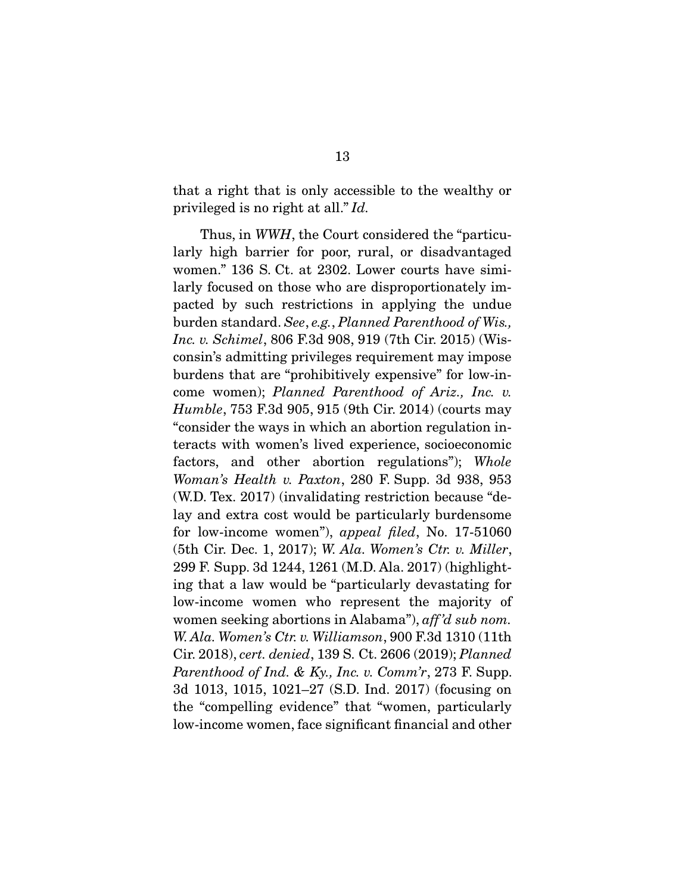that a right that is only accessible to the wealthy or privileged is no right at all." *Id.*

 Thus, in *WWH*, the Court considered the "particularly high barrier for poor, rural, or disadvantaged women." 136 S. Ct. at 2302. Lower courts have similarly focused on those who are disproportionately impacted by such restrictions in applying the undue burden standard. *See*, *e.g.*, *Planned Parenthood of Wis., Inc. v. Schimel*, 806 F.3d 908, 919 (7th Cir. 2015) (Wisconsin's admitting privileges requirement may impose burdens that are "prohibitively expensive" for low-income women); *Planned Parenthood of Ariz., Inc. v. Humble*, 753 F.3d 905, 915 (9th Cir. 2014) (courts may "consider the ways in which an abortion regulation interacts with women's lived experience, socioeconomic factors, and other abortion regulations"); *Whole Woman's Health v. Paxton*, 280 F. Supp. 3d 938, 953 (W.D. Tex. 2017) (invalidating restriction because "delay and extra cost would be particularly burdensome for low-income women"), *appeal filed*, No. 17-51060 (5th Cir. Dec. 1, 2017); *W. Ala. Women's Ctr. v. Miller*, 299 F. Supp. 3d 1244, 1261 (M.D. Ala. 2017) (highlighting that a law would be "particularly devastating for low-income women who represent the majority of women seeking abortions in Alabama"), *aff 'd sub nom. W. Ala. Women's Ctr. v. Williamson*, 900 F.3d 1310 (11th Cir. 2018), *cert. denied*, 139 S. Ct. 2606 (2019); *Planned Parenthood of Ind. & Ky., Inc. v. Comm'r*, 273 F. Supp. 3d 1013, 1015, 1021–27 (S.D. Ind. 2017) (focusing on the "compelling evidence" that "women, particularly low-income women, face significant financial and other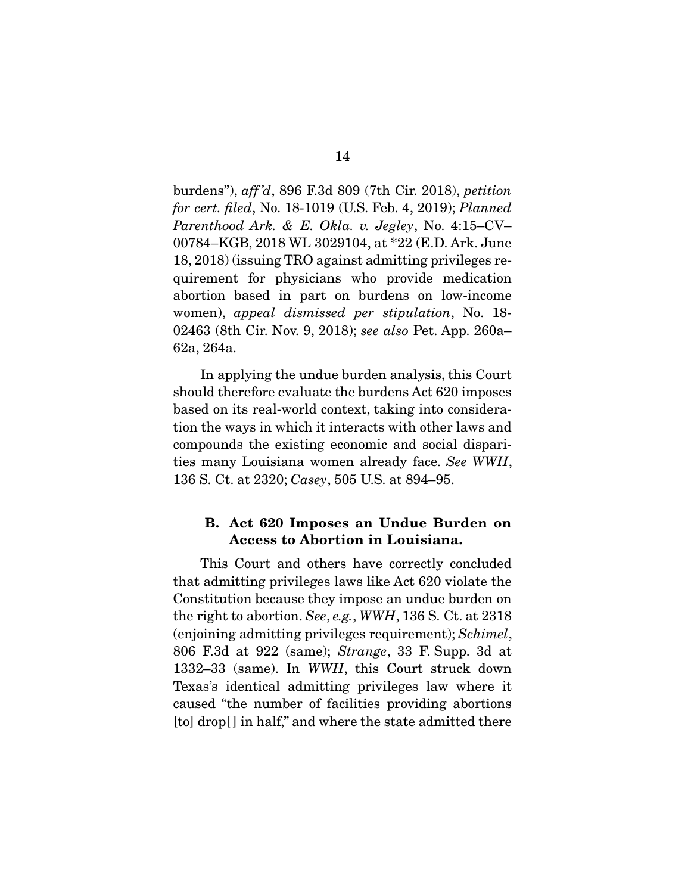burdens"), *aff 'd*, 896 F.3d 809 (7th Cir. 2018), *petition for cert. filed*, No. 18-1019 (U.S. Feb. 4, 2019); *Planned Parenthood Ark. & E. Okla. v. Jegley*, No. 4:15–CV– 00784–KGB, 2018 WL 3029104, at \*22 (E.D. Ark. June 18, 2018) (issuing TRO against admitting privileges requirement for physicians who provide medication abortion based in part on burdens on low-income women), *appeal dismissed per stipulation*, No. 18- 02463 (8th Cir. Nov. 9, 2018); *see also* Pet. App. 260a– 62a, 264a.

 In applying the undue burden analysis, this Court should therefore evaluate the burdens Act 620 imposes based on its real-world context, taking into consideration the ways in which it interacts with other laws and compounds the existing economic and social disparities many Louisiana women already face. *See WWH*, 136 S. Ct. at 2320; *Casey*, 505 U.S. at 894–95.

### B. Act 620 Imposes an Undue Burden on Access to Abortion in Louisiana.

 This Court and others have correctly concluded that admitting privileges laws like Act 620 violate the Constitution because they impose an undue burden on the right to abortion. *See*, *e.g.*, *WWH*, 136 S. Ct. at 2318 (enjoining admitting privileges requirement); *Schimel*, 806 F.3d at 922 (same); *Strange*, 33 F. Supp. 3d at 1332–33 (same). In *WWH*, this Court struck down Texas's identical admitting privileges law where it caused "the number of facilities providing abortions [to] drop[] in half," and where the state admitted there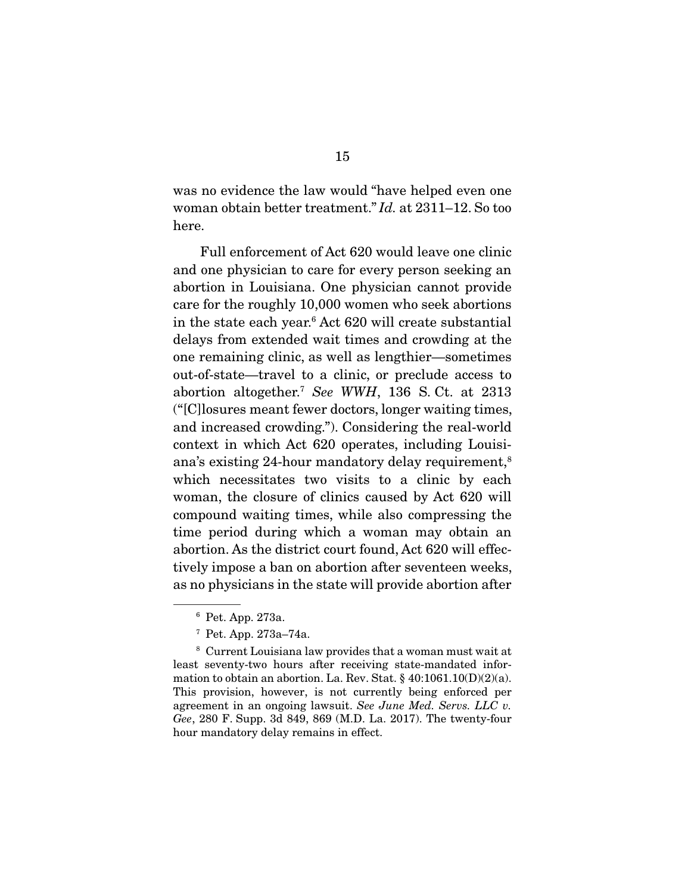was no evidence the law would "have helped even one woman obtain better treatment." *Id.* at 2311–12. So too here.

 Full enforcement of Act 620 would leave one clinic and one physician to care for every person seeking an abortion in Louisiana. One physician cannot provide care for the roughly 10,000 women who seek abortions in the state each year.6 Act 620 will create substantial delays from extended wait times and crowding at the one remaining clinic, as well as lengthier—sometimes out-of-state—travel to a clinic, or preclude access to abortion altogether.7 *See WWH*, 136 S. Ct. at 2313 ("[C]losures meant fewer doctors, longer waiting times, and increased crowding."). Considering the real-world context in which Act 620 operates, including Louisiana's existing 24-hour mandatory delay requirement,8 which necessitates two visits to a clinic by each woman, the closure of clinics caused by Act 620 will compound waiting times, while also compressing the time period during which a woman may obtain an abortion. As the district court found, Act 620 will effectively impose a ban on abortion after seventeen weeks, as no physicians in the state will provide abortion after

<sup>6</sup> Pet. App. 273a.

<sup>7</sup> Pet. App. 273a–74a.

 $^8$  Current Louisiana law provides that a woman must wait at least seventy-two hours after receiving state-mandated information to obtain an abortion. La. Rev. Stat.  $\S 40:1061.10(D)(2)(a)$ . This provision, however, is not currently being enforced per agreement in an ongoing lawsuit. *See June Med. Servs. LLC v. Gee*, 280 F. Supp. 3d 849, 869 (M.D. La. 2017). The twenty-four hour mandatory delay remains in effect.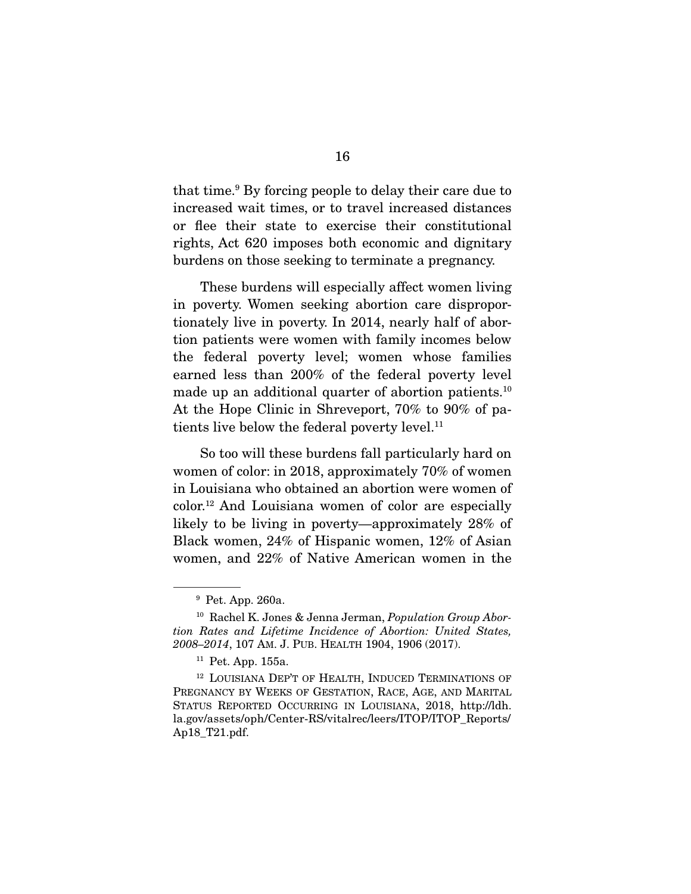that time.9 By forcing people to delay their care due to increased wait times, or to travel increased distances or flee their state to exercise their constitutional rights, Act 620 imposes both economic and dignitary burdens on those seeking to terminate a pregnancy.

 These burdens will especially affect women living in poverty. Women seeking abortion care disproportionately live in poverty. In 2014, nearly half of abortion patients were women with family incomes below the federal poverty level; women whose families earned less than 200% of the federal poverty level made up an additional quarter of abortion patients.<sup>10</sup> At the Hope Clinic in Shreveport, 70% to 90% of patients live below the federal poverty level.<sup>11</sup>

 So too will these burdens fall particularly hard on women of color: in 2018, approximately 70% of women in Louisiana who obtained an abortion were women of color.12 And Louisiana women of color are especially likely to be living in poverty—approximately 28% of Black women, 24% of Hispanic women, 12% of Asian women, and 22% of Native American women in the

<sup>9</sup> Pet. App. 260a.

<sup>10</sup> Rachel K. Jones & Jenna Jerman, *Population Group Abortion Rates and Lifetime Incidence of Abortion: United States, 2008–2014*, 107 AM. J. PUB. HEALTH 1904, 1906 (2017).

<sup>11</sup> Pet. App. 155a.

<sup>&</sup>lt;sup>12</sup> LOUISIANA DEP'T OF HEALTH, INDUCED TERMINATIONS OF PREGNANCY BY WEEKS OF GESTATION, RACE, AGE, AND MARITAL STATUS REPORTED OCCURRING IN LOUISIANA, 2018, http://ldh. la.gov/assets/oph/Center-RS/vitalrec/leers/ITOP/ITOP\_Reports/ Ap18\_T21.pdf.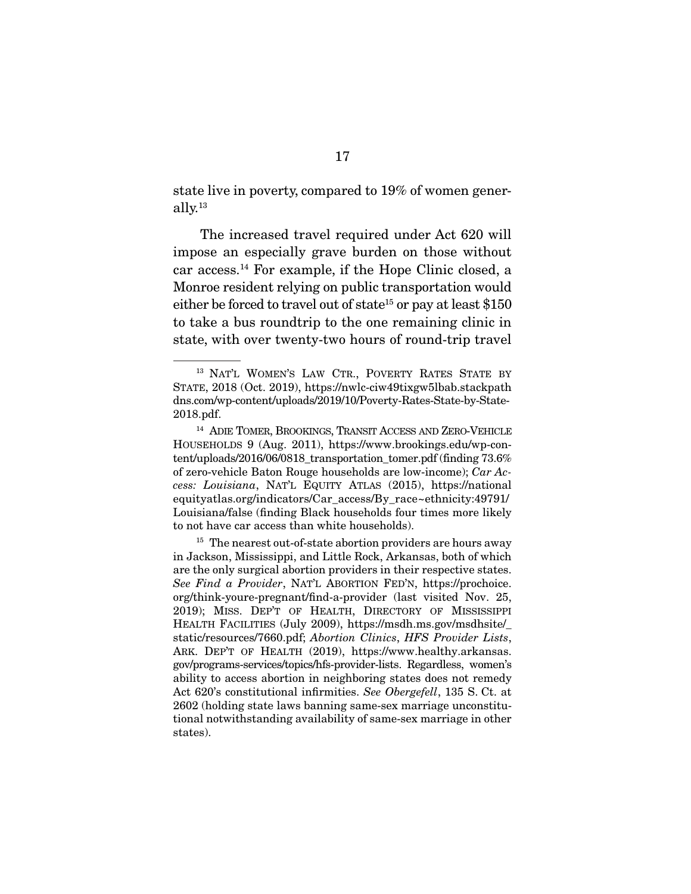state live in poverty, compared to 19% of women generally.13

 The increased travel required under Act 620 will impose an especially grave burden on those without car access.14 For example, if the Hope Clinic closed, a Monroe resident relying on public transportation would either be forced to travel out of state<sup>15</sup> or pay at least  $$150$ to take a bus roundtrip to the one remaining clinic in state, with over twenty-two hours of round-trip travel

<sup>&</sup>lt;sup>13</sup> NAT'L WOMEN'S LAW CTR., POVERTY RATES STATE BY STATE, 2018 (Oct. 2019), https://nwlc-ciw49tixgw5lbab.stackpath dns.com/wp-content/uploads/2019/10/Poverty-Rates-State-by-State-2018.pdf.

<sup>14</sup> ADIE TOMER, BROOKINGS, TRANSIT ACCESS AND ZERO-VEHICLE HOUSEHOLDS 9 (Aug. 2011), https://www.brookings.edu/wp-content/uploads/2016/06/0818 transportation tomer.pdf (finding 73.6%) of zero-vehicle Baton Rouge households are low-income); *Car Access: Louisiana*, NAT'L EQUITY ATLAS (2015), https://national equityatlas.org/indicators/Car\_access/By\_race~ethnicity:49791/ Louisiana/false (finding Black households four times more likely to not have car access than white households).

 $15$  The nearest out-of-state abortion providers are hours away in Jackson, Mississippi, and Little Rock, Arkansas, both of which are the only surgical abortion providers in their respective states. *See Find a Provider*, NAT'L ABORTION FED'N, https://prochoice. org/think-youre-pregnant/find-a-provider (last visited Nov. 25, 2019); MISS. DEP'T OF HEALTH, DIRECTORY OF MISSISSIPPI HEALTH FACILITIES (July 2009), https://msdh.ms.gov/msdhsite/\_ static/resources/7660.pdf; *Abortion Clinics*, *HFS Provider Lists*, ARK. DEP'T OF HEALTH (2019), https://www.healthy.arkansas. gov/programs-services/topics/hfs-provider-lists. Regardless, women's ability to access abortion in neighboring states does not remedy Act 620's constitutional infirmities. *See Obergefell*, 135 S. Ct. at 2602 (holding state laws banning same-sex marriage unconstitutional notwithstanding availability of same-sex marriage in other states).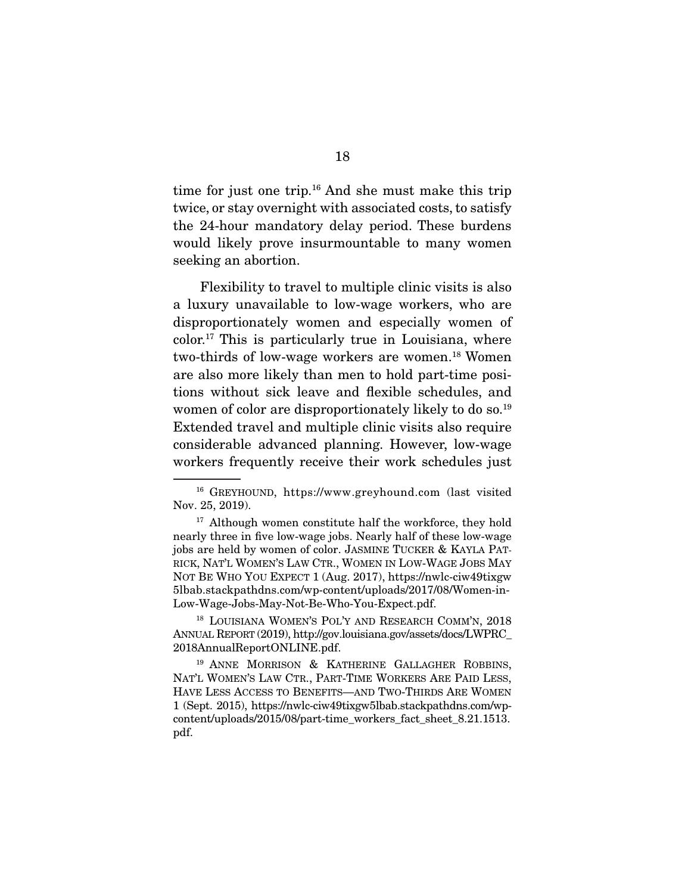time for just one trip.16 And she must make this trip twice, or stay overnight with associated costs, to satisfy the 24-hour mandatory delay period. These burdens would likely prove insurmountable to many women seeking an abortion.

 Flexibility to travel to multiple clinic visits is also a luxury unavailable to low-wage workers, who are disproportionately women and especially women of color.17 This is particularly true in Louisiana, where two-thirds of low-wage workers are women.<sup>18</sup> Women are also more likely than men to hold part-time positions without sick leave and flexible schedules, and women of color are disproportionately likely to do so.<sup>19</sup> Extended travel and multiple clinic visits also require considerable advanced planning. However, low-wage workers frequently receive their work schedules just

<sup>18</sup> LOUISIANA WOMEN'S POL'Y AND RESEARCH COMM'N, 2018 ANNUAL REPORT (2019), http://gov.louisiana.gov/assets/docs/LWPRC\_ 2018AnnualReportONLINE.pdf.

<sup>19</sup> ANNE MORRISON & KATHERINE GALLAGHER ROBBINS, NAT'L WOMEN'S LAW CTR., PART-TIME WORKERS ARE PAID LESS, HAVE LESS ACCESS TO BENEFITS—AND TWO-THIRDS ARE WOMEN 1 (Sept. 2015), https://nwlc-ciw49tixgw5lbab.stackpathdns.com/wpcontent/uploads/2015/08/part-time\_workers\_fact\_sheet\_8.21.1513. pdf.

<sup>16</sup> GREYHOUND, https://www.greyhound.com (last visited Nov. 25, 2019).

<sup>&</sup>lt;sup>17</sup> Although women constitute half the workforce, they hold nearly three in five low-wage jobs. Nearly half of these low-wage jobs are held by women of color. JASMINE TUCKER & KAYLA PAT-RICK, NAT'L WOMEN'S LAW CTR., WOMEN IN LOW-WAGE JOBS MAY NOT BE WHO YOU EXPECT 1 (Aug. 2017), https://nwlc-ciw49tixgw 5lbab.stackpathdns.com/wp-content/uploads/2017/08/Women-in-Low-Wage-Jobs-May-Not-Be-Who-You-Expect.pdf.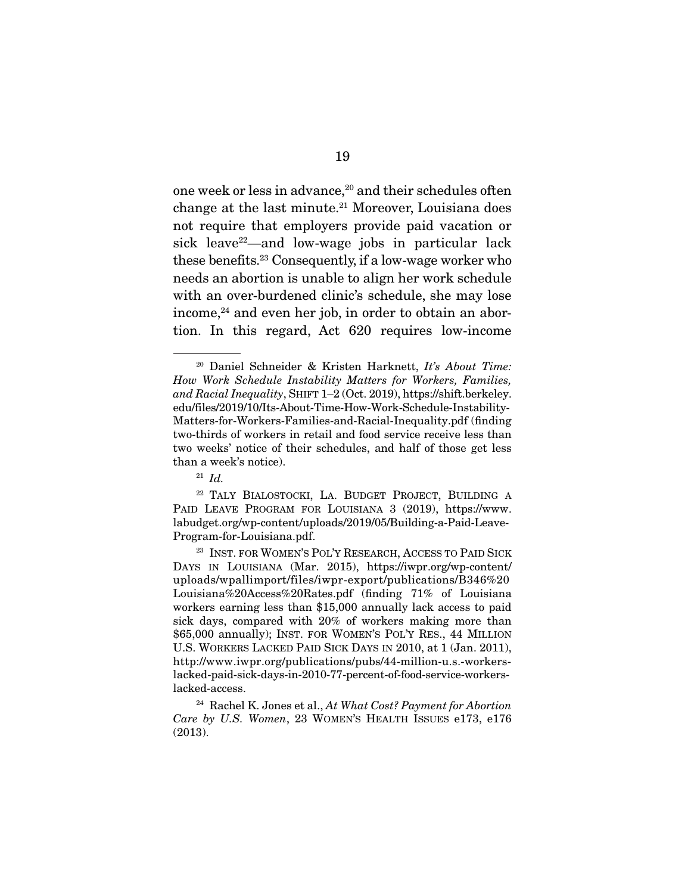one week or less in advance,<sup>20</sup> and their schedules often change at the last minute.21 Moreover, Louisiana does not require that employers provide paid vacation or sick leave<sup>22</sup>—and low-wage jobs in particular lack these benefits.23 Consequently, if a low-wage worker who needs an abortion is unable to align her work schedule with an over-burdened clinic's schedule, she may lose  $i$ ncome, $24$  and even her job, in order to obtain an abortion. In this regard, Act 620 requires low-income

<sup>20</sup> Daniel Schneider & Kristen Harknett, *It's About Time: How Work Schedule Instability Matters for Workers, Families, and Racial Inequality*, SHIFT 1–2 (Oct. 2019), https://shift.berkeley. edu/files/2019/10/Its-About-Time-How-Work-Schedule-Instability-Matters-for-Workers-Families-and-Racial-Inequality.pdf (finding two-thirds of workers in retail and food service receive less than two weeks' notice of their schedules, and half of those get less than a week's notice).

<sup>21</sup> *Id.*

<sup>22</sup> TALY BIALOSTOCKI, LA. BUDGET PROJECT, BUILDING A PAID LEAVE PROGRAM FOR LOUISIANA 3 (2019), https://www. labudget.org/wp-content/uploads/2019/05/Building-a-Paid-Leave-Program-for-Louisiana.pdf.

<sup>23</sup> INST. FOR WOMEN'S POL'Y RESEARCH, ACCESS TO PAID SICK DAYS IN LOUISIANA (Mar. 2015), https://iwpr.org/wp-content/ uploads/wpallimport/files/iwpr-export/publications/B346%20 Louisiana%20Access%20Rates.pdf (finding 71% of Louisiana workers earning less than \$15,000 annually lack access to paid sick days, compared with 20% of workers making more than \$65,000 annually); INST. FOR WOMEN'S POL'Y RES., 44 MILLION U.S. WORKERS LACKED PAID SICK DAYS IN 2010, at 1 (Jan. 2011), http://www.iwpr.org/publications/pubs/44-million-u.s.-workerslacked-paid-sick-days-in-2010-77-percent-of-food-service-workerslacked-access.

<sup>24</sup> Rachel K. Jones et al., *At What Cost? Payment for Abortion Care by U.S. Women*, 23 WOMEN'S HEALTH ISSUES e173, e176 (2013).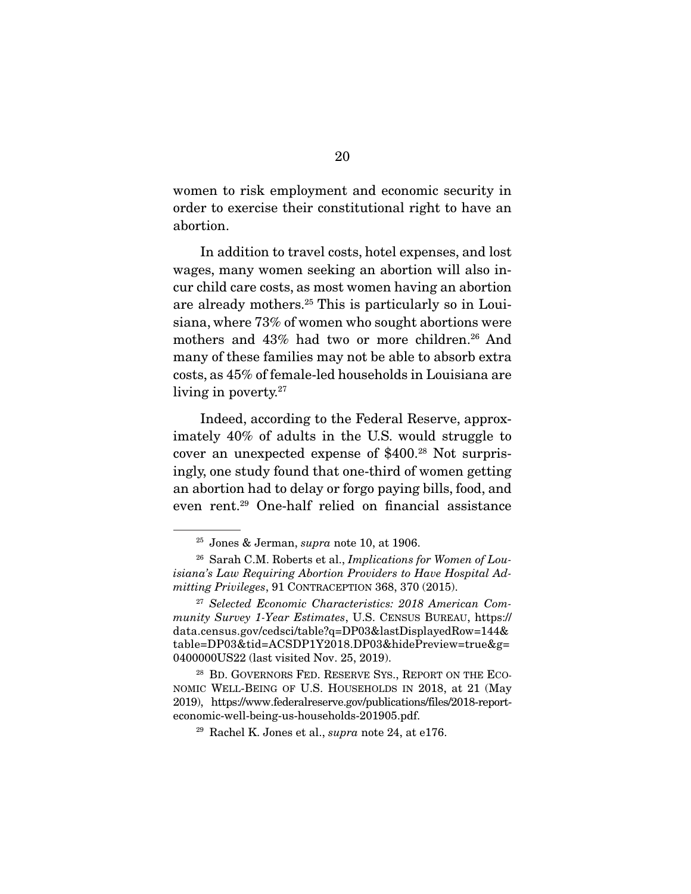women to risk employment and economic security in order to exercise their constitutional right to have an abortion.

 In addition to travel costs, hotel expenses, and lost wages, many women seeking an abortion will also incur child care costs, as most women having an abortion are already mothers.25 This is particularly so in Louisiana, where 73% of women who sought abortions were mothers and 43% had two or more children.<sup>26</sup> And many of these families may not be able to absorb extra costs, as 45% of female-led households in Louisiana are living in poverty.<sup>27</sup>

 Indeed, according to the Federal Reserve, approximately 40% of adults in the U.S. would struggle to cover an unexpected expense of \$400.28 Not surprisingly, one study found that one-third of women getting an abortion had to delay or forgo paying bills, food, and even rent.29 One-half relied on financial assistance

<sup>25</sup> Jones & Jerman, *supra* note 10, at 1906.

<sup>26</sup> Sarah C.M. Roberts et al., *Implications for Women of Louisiana's Law Requiring Abortion Providers to Have Hospital Admitting Privileges*, 91 CONTRACEPTION 368, 370 (2015).

<sup>27</sup> *Selected Economic Characteristics: 2018 American Community Survey 1-Year Estimates*, U.S. CENSUS BUREAU, https:// data.census.gov/cedsci/table?q=DP03&lastDisplayedRow=144& table=DP03&tid=ACSDP1Y2018.DP03&hidePreview=true&g= 0400000US22 (last visited Nov. 25, 2019).

<sup>&</sup>lt;sup>28</sup> BD. GOVERNORS FED. RESERVE SYS., REPORT ON THE ECO-NOMIC WELL-BEING OF U.S. HOUSEHOLDS IN 2018, at 21 (May 2019), https://www.federalreserve.gov/publications/files/2018-reporteconomic-well-being-us-households-201905.pdf.

<sup>29</sup> Rachel K. Jones et al., *supra* note 24, at e176.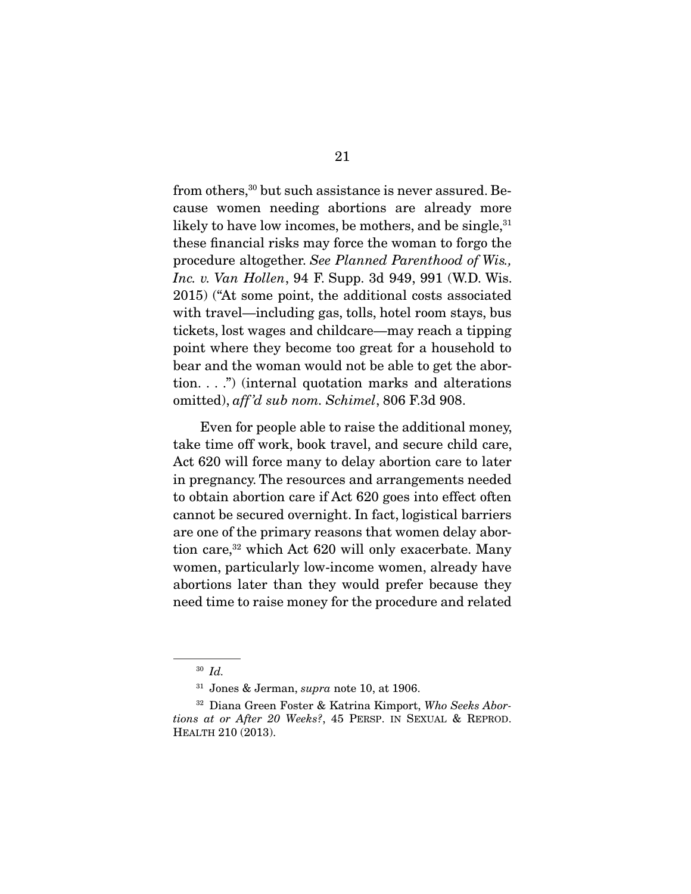from others,<sup>30</sup> but such assistance is never assured. Because women needing abortions are already more likely to have low incomes, be mothers, and be single,  $31$ these financial risks may force the woman to forgo the procedure altogether. *See Planned Parenthood of Wis., Inc. v. Van Hollen*, 94 F. Supp. 3d 949, 991 (W.D. Wis. 2015) ("At some point, the additional costs associated with travel—including gas, tolls, hotel room stays, bus tickets, lost wages and childcare—may reach a tipping point where they become too great for a household to bear and the woman would not be able to get the abortion. . . .") (internal quotation marks and alterations omitted), *aff 'd sub nom. Schimel*, 806 F.3d 908.

 Even for people able to raise the additional money, take time off work, book travel, and secure child care, Act 620 will force many to delay abortion care to later in pregnancy. The resources and arrangements needed to obtain abortion care if Act 620 goes into effect often cannot be secured overnight. In fact, logistical barriers are one of the primary reasons that women delay abortion care,<sup>32</sup> which Act 620 will only exacerbate. Many women, particularly low-income women, already have abortions later than they would prefer because they need time to raise money for the procedure and related

<sup>30</sup> *Id.*

<sup>31</sup> Jones & Jerman, *supra* note 10, at 1906.

<sup>32</sup> Diana Green Foster & Katrina Kimport, *Who Seeks Abortions at or After 20 Weeks?*, 45 PERSP. IN SEXUAL & REPROD. HEALTH 210 (2013).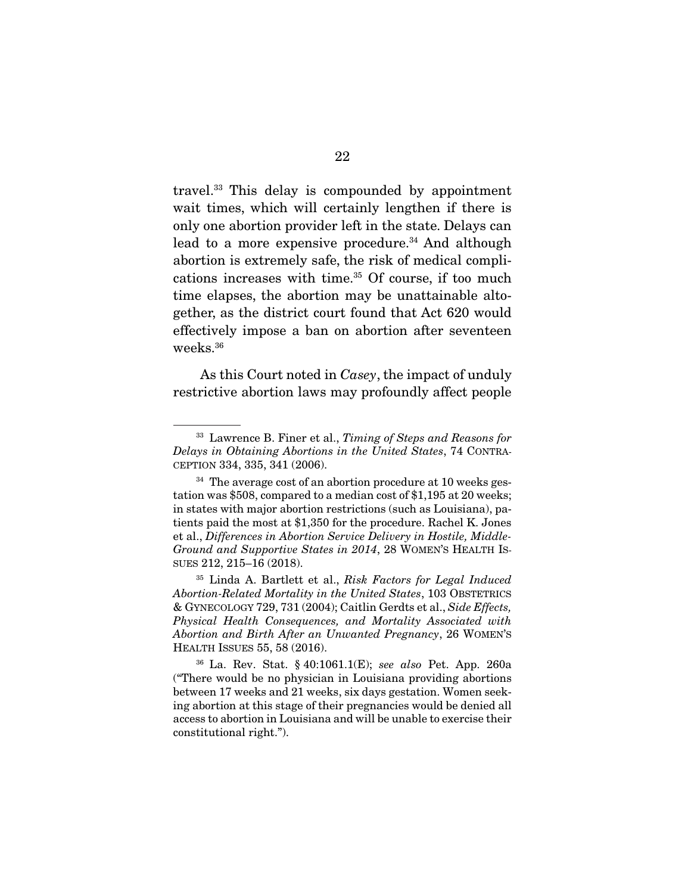travel.33 This delay is compounded by appointment wait times, which will certainly lengthen if there is only one abortion provider left in the state. Delays can lead to a more expensive procedure.<sup>34</sup> And although abortion is extremely safe, the risk of medical complications increases with time.<sup>35</sup> Of course, if too much time elapses, the abortion may be unattainable altogether, as the district court found that Act 620 would effectively impose a ban on abortion after seventeen weeks.36

 As this Court noted in *Casey*, the impact of unduly restrictive abortion laws may profoundly affect people

<sup>33</sup> Lawrence B. Finer et al., *Timing of Steps and Reasons for Delays in Obtaining Abortions in the United States*, 74 CONTRA-CEPTION 334, 335, 341 (2006).

 $34$  The average cost of an abortion procedure at 10 weeks gestation was \$508, compared to a median cost of \$1,195 at 20 weeks; in states with major abortion restrictions (such as Louisiana), patients paid the most at \$1,350 for the procedure. Rachel K. Jones et al., *Differences in Abortion Service Delivery in Hostile, Middle-Ground and Supportive States in 2014*, 28 WOMEN'S HEALTH IS-SUES 212, 215–16 (2018).

<sup>35</sup> Linda A. Bartlett et al., *Risk Factors for Legal Induced Abortion-Related Mortality in the United States*, 103 OBSTETRICS & GYNECOLOGY 729, 731 (2004); Caitlin Gerdts et al., *Side Effects, Physical Health Consequences, and Mortality Associated with Abortion and Birth After an Unwanted Pregnancy*, 26 WOMEN'S HEALTH ISSUES 55, 58 (2016).

<sup>36</sup> La. Rev. Stat. § 40:1061.1(E); *see also* Pet. App. 260a ("There would be no physician in Louisiana providing abortions between 17 weeks and 21 weeks, six days gestation. Women seeking abortion at this stage of their pregnancies would be denied all access to abortion in Louisiana and will be unable to exercise their constitutional right.").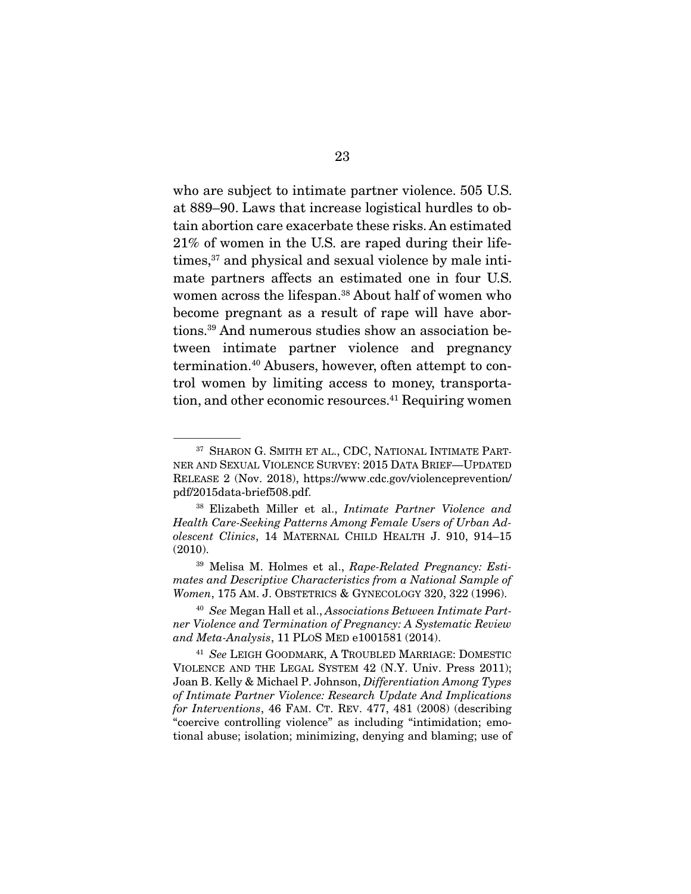who are subject to intimate partner violence. 505 U.S. at 889–90. Laws that increase logistical hurdles to obtain abortion care exacerbate these risks. An estimated 21% of women in the U.S. are raped during their lifetimes,<sup>37</sup> and physical and sexual violence by male intimate partners affects an estimated one in four U.S. women across the lifespan.38 About half of women who become pregnant as a result of rape will have abortions.39 And numerous studies show an association between intimate partner violence and pregnancy termination.40 Abusers, however, often attempt to control women by limiting access to money, transportation, and other economic resources.<sup>41</sup> Requiring women

<sup>&</sup>lt;sup>37</sup> SHARON G. SMITH ET AL., CDC, NATIONAL INTIMATE PART-NER AND SEXUAL VIOLENCE SURVEY: 2015 DATA BRIEF—UPDATED RELEASE 2 (Nov. 2018), https://www.cdc.gov/violenceprevention/ pdf/2015data-brief508.pdf.

<sup>38</sup> Elizabeth Miller et al., *Intimate Partner Violence and Health Care-Seeking Patterns Among Female Users of Urban Adolescent Clinics*, 14 MATERNAL CHILD HEALTH J. 910, 914–15 (2010).

<sup>39</sup> Melisa M. Holmes et al., *Rape-Related Pregnancy: Estimates and Descriptive Characteristics from a National Sample of Women*, 175 AM. J. OBSTETRICS & GYNECOLOGY 320, 322 (1996).

<sup>40</sup> *See* Megan Hall et al., *Associations Between Intimate Partner Violence and Termination of Pregnancy: A Systematic Review and Meta-Analysis*, 11 PLOS MED e1001581 (2014).

<sup>41</sup> *See* LEIGH GOODMARK, A TROUBLED MARRIAGE: DOMESTIC VIOLENCE AND THE LEGAL SYSTEM 42 (N.Y. Univ. Press 2011); Joan B. Kelly & Michael P. Johnson, *Differentiation Among Types of Intimate Partner Violence: Research Update And Implications for Interventions*, 46 FAM. CT. REV. 477, 481 (2008) (describing "coercive controlling violence" as including "intimidation; emotional abuse; isolation; minimizing, denying and blaming; use of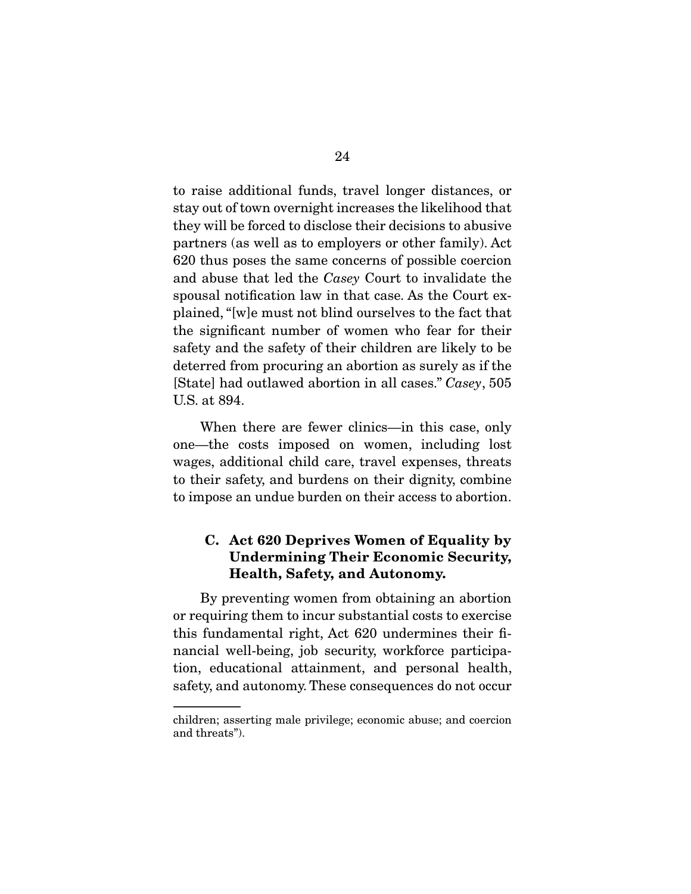to raise additional funds, travel longer distances, or stay out of town overnight increases the likelihood that they will be forced to disclose their decisions to abusive partners (as well as to employers or other family). Act 620 thus poses the same concerns of possible coercion and abuse that led the *Casey* Court to invalidate the spousal notification law in that case. As the Court explained, "[w]e must not blind ourselves to the fact that the significant number of women who fear for their safety and the safety of their children are likely to be deterred from procuring an abortion as surely as if the [State] had outlawed abortion in all cases." *Casey*, 505 U.S. at 894.

 When there are fewer clinics—in this case, only one—the costs imposed on women, including lost wages, additional child care, travel expenses, threats to their safety, and burdens on their dignity, combine to impose an undue burden on their access to abortion.

### C. Act 620 Deprives Women of Equality by Undermining Their Economic Security, Health, Safety, and Autonomy.

 By preventing women from obtaining an abortion or requiring them to incur substantial costs to exercise this fundamental right, Act 620 undermines their financial well-being, job security, workforce participation, educational attainment, and personal health, safety, and autonomy. These consequences do not occur

children; asserting male privilege; economic abuse; and coercion and threats").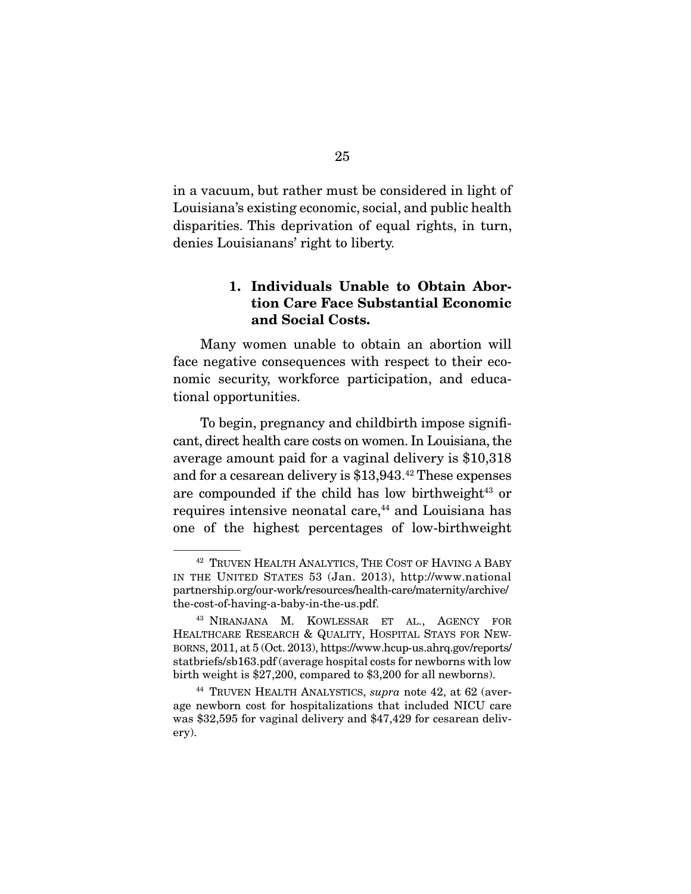in a vacuum, but rather must be considered in light of Louisiana's existing economic, social, and public health disparities. This deprivation of equal rights, in turn, denies Louisianans' right to liberty.

### 1. Individuals Unable to Obtain Abortion Care Face Substantial Economic and Social Costs.

 Many women unable to obtain an abortion will face negative consequences with respect to their economic security, workforce participation, and educational opportunities.

 To begin, pregnancy and childbirth impose significant, direct health care costs on women. In Louisiana, the average amount paid for a vaginal delivery is \$10,318 and for a cesarean delivery is \$13,943.42 These expenses are compounded if the child has low birthweight $43$  or requires intensive neonatal care,<sup>44</sup> and Louisiana has one of the highest percentages of low-birthweight

<sup>42</sup> TRUVEN HEALTH ANALYTICS, THE COST OF HAVING A BABY IN THE UNITED STATES 53 (Jan. 2013), http://www.national partnership.org/our-work/resources/health-care/maternity/archive/ the-cost-of-having-a-baby-in-the-us.pdf.

<sup>43</sup> NIRANJANA M. KOWLESSAR ET AL., AGENCY FOR HEALTHCARE RESEARCH & QUALITY, HOSPITAL STAYS FOR NEW-BORNS, 2011, at 5 (Oct. 2013), https://www.hcup-us.ahrq.gov/reports/ statbriefs/sb163.pdf (average hospital costs for newborns with low birth weight is \$27,200, compared to \$3,200 for all newborns).

<sup>44</sup> TRUVEN HEALTH ANALYSTICS, *supra* note 42, at 62 (average newborn cost for hospitalizations that included NICU care was \$32,595 for vaginal delivery and \$47,429 for cesarean delivery).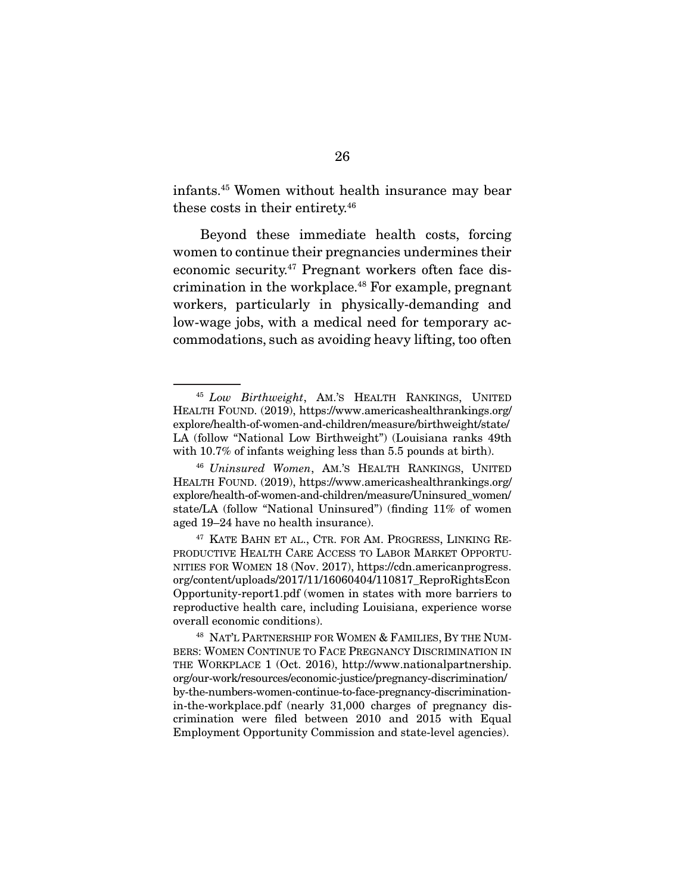infants.45 Women without health insurance may bear these costs in their entirety.46

 Beyond these immediate health costs, forcing women to continue their pregnancies undermines their economic security.47 Pregnant workers often face discrimination in the workplace.48 For example, pregnant workers, particularly in physically-demanding and low-wage jobs, with a medical need for temporary accommodations, such as avoiding heavy lifting, too often

<sup>45</sup> *Low Birthweight*, AM.'S HEALTH RANKINGS, UNITED HEALTH FOUND. (2019), https://www.americashealthrankings.org/ explore/health-of-women-and-children/measure/birthweight/state/ LA (follow "National Low Birthweight") (Louisiana ranks 49th with 10.7% of infants weighing less than 5.5 pounds at birth).

<sup>46</sup> *Uninsured Women*, AM.'S HEALTH RANKINGS, UNITED HEALTH FOUND. (2019), https://www.americashealthrankings.org/ explore/health-of-women-and-children/measure/Uninsured\_women/ state/LA (follow "National Uninsured") (finding 11% of women aged 19–24 have no health insurance).

<sup>&</sup>lt;sup>47</sup> KATE BAHN ET AL., CTR. FOR AM. PROGRESS, LINKING RE-PRODUCTIVE HEALTH CARE ACCESS TO LABOR MARKET OPPORTU-NITIES FOR WOMEN 18 (Nov. 2017), https://cdn.americanprogress. org/content/uploads/2017/11/16060404/110817\_ReproRightsEcon Opportunity-report1.pdf (women in states with more barriers to reproductive health care, including Louisiana, experience worse overall economic conditions).

<sup>48</sup> NAT'L PARTNERSHIP FOR WOMEN & FAMILIES, BY THE NUM-BERS: WOMEN CONTINUE TO FACE PREGNANCY DISCRIMINATION IN THE WORKPLACE 1 (Oct. 2016), http://www.nationalpartnership. org/our-work/resources/economic-justice/pregnancy-discrimination/ by-the-numbers-women-continue-to-face-pregnancy-discriminationin-the-workplace.pdf (nearly 31,000 charges of pregnancy discrimination were filed between 2010 and 2015 with Equal Employment Opportunity Commission and state-level agencies).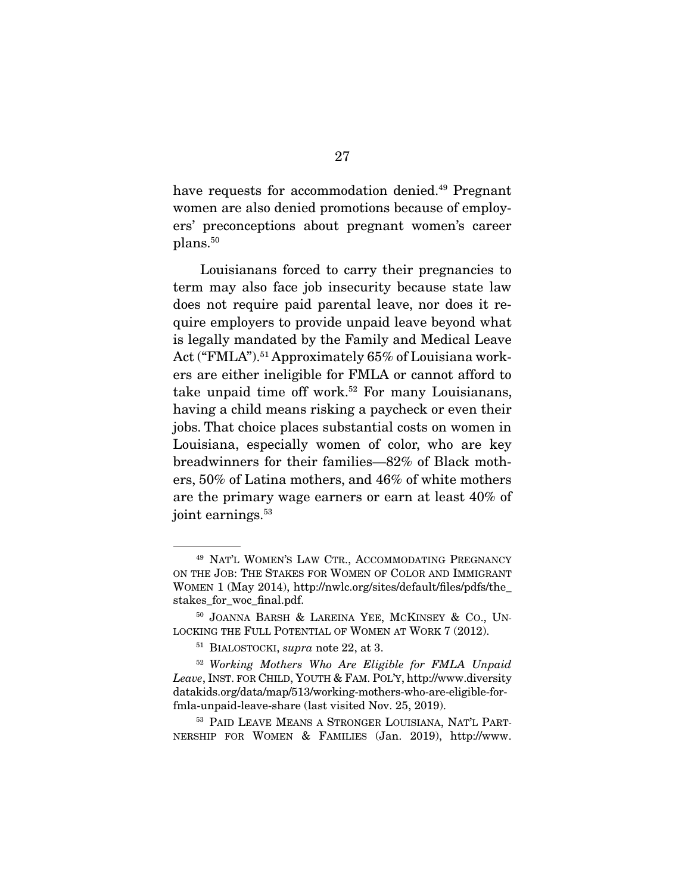have requests for accommodation denied.<sup>49</sup> Pregnant women are also denied promotions because of employers' preconceptions about pregnant women's career plans.<sup>50</sup>

 Louisianans forced to carry their pregnancies to term may also face job insecurity because state law does not require paid parental leave, nor does it require employers to provide unpaid leave beyond what is legally mandated by the Family and Medical Leave Act ("FMLA").<sup>51</sup> Approximately 65% of Louisiana workers are either ineligible for FMLA or cannot afford to take unpaid time off work.<sup>52</sup> For many Louisianans, having a child means risking a paycheck or even their jobs. That choice places substantial costs on women in Louisiana, especially women of color, who are key breadwinners for their families—82% of Black mothers, 50% of Latina mothers, and 46% of white mothers are the primary wage earners or earn at least 40% of joint earnings.<sup>53</sup>

<sup>53</sup> PAID LEAVE MEANS A STRONGER LOUISIANA, NAT'L PART-NERSHIP FOR WOMEN & FAMILIES (Jan. 2019), http://www.

<sup>49</sup> NAT'L WOMEN'S LAW CTR., ACCOMMODATING PREGNANCY ON THE JOB: THE STAKES FOR WOMEN OF COLOR AND IMMIGRANT WOMEN 1 (May 2014), http://nwlc.org/sites/default/files/pdfs/the\_ stakes\_for\_woc\_final.pdf.

<sup>50</sup> JOANNA BARSH & LAREINA YEE, MCKINSEY & CO., UN-LOCKING THE FULL POTENTIAL OF WOMEN AT WORK 7 (2012).

<sup>51</sup> BIALOSTOCKI, *supra* note 22, at 3.

<sup>52</sup> *Working Mothers Who Are Eligible for FMLA Unpaid Leave*, INST. FOR CHILD, YOUTH & FAM. POL'Y, http://www.diversity datakids.org/data/map/513/working-mothers-who-are-eligible-forfmla-unpaid-leave-share (last visited Nov. 25, 2019).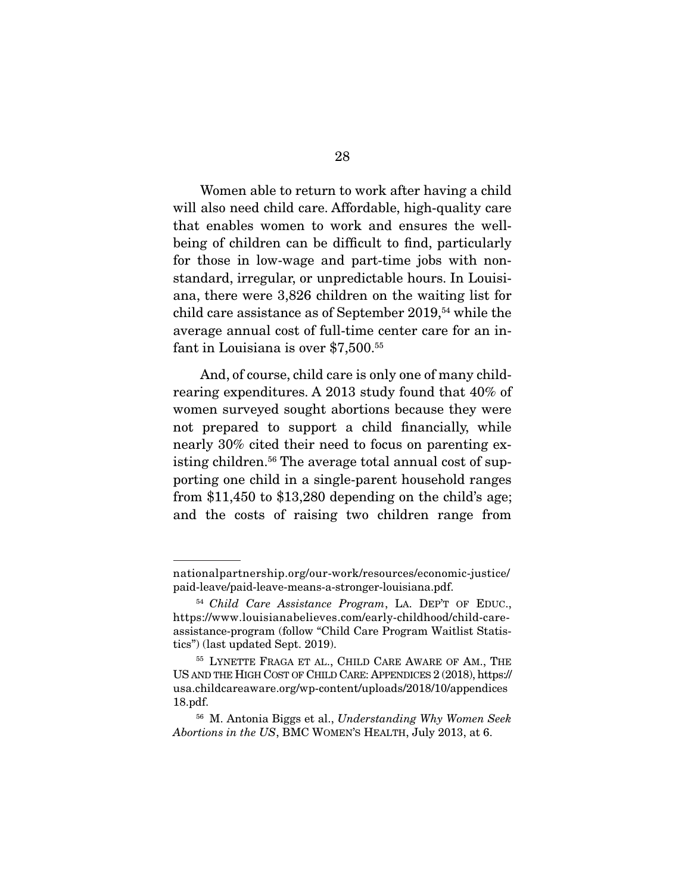Women able to return to work after having a child will also need child care. Affordable, high-quality care that enables women to work and ensures the wellbeing of children can be difficult to find, particularly for those in low-wage and part-time jobs with nonstandard, irregular, or unpredictable hours. In Louisiana, there were 3,826 children on the waiting list for child care assistance as of September 2019,<sup>54</sup> while the average annual cost of full-time center care for an infant in Louisiana is over \$7,500.55

 And, of course, child care is only one of many childrearing expenditures. A 2013 study found that 40% of women surveyed sought abortions because they were not prepared to support a child financially, while nearly 30% cited their need to focus on parenting existing children.<sup>56</sup> The average total annual cost of supporting one child in a single-parent household ranges from \$11,450 to \$13,280 depending on the child's age; and the costs of raising two children range from

nationalpartnership.org/our-work/resources/economic-justice/ paid-leave/paid-leave-means-a-stronger-louisiana.pdf.

<sup>54</sup> *Child Care Assistance Program*, LA. DEP'T OF EDUC., https://www.louisianabelieves.com/early-childhood/child-careassistance-program (follow "Child Care Program Waitlist Statistics") (last updated Sept. 2019).

<sup>55</sup> LYNETTE FRAGA ET AL., CHILD CARE AWARE OF AM., THE US AND THE HIGH COST OF CHILD CARE: APPENDICES 2 (2018), https:// usa.childcareaware.org/wp-content/uploads/2018/10/appendices 18.pdf.

<sup>56</sup> M. Antonia Biggs et al., *Understanding Why Women Seek Abortions in the US*, BMC WOMEN'S HEALTH, July 2013, at 6.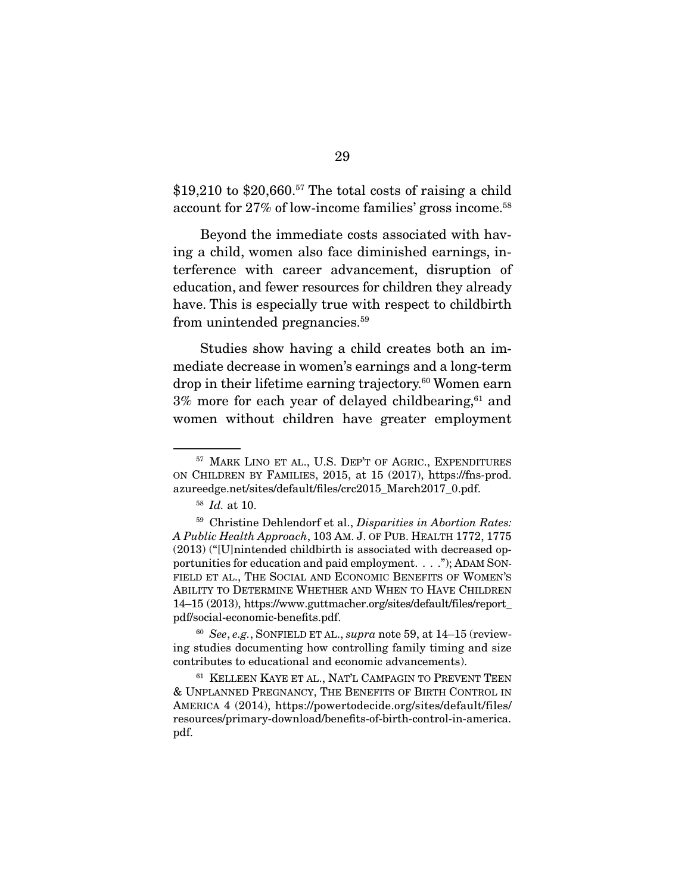$$19,210$  to  $$20,660.<sup>57</sup>$  The total costs of raising a child account for 27% of low-income families' gross income.58

 Beyond the immediate costs associated with having a child, women also face diminished earnings, interference with career advancement, disruption of education, and fewer resources for children they already have. This is especially true with respect to childbirth from unintended pregnancies.59

 Studies show having a child creates both an immediate decrease in women's earnings and a long-term drop in their lifetime earning trajectory.<sup>60</sup> Women earn  $3\%$  more for each year of delayed childbearing, $61$  and women without children have greater employment

<sup>57</sup> MARK LINO ET AL., U.S. DEP'T OF AGRIC., EXPENDITURES ON CHILDREN BY FAMILIES, 2015, at 15 (2017), https://fns-prod. azureedge.net/sites/default/files/crc2015\_March2017\_0.pdf.

<sup>58</sup> *Id.* at 10.

<sup>59</sup> Christine Dehlendorf et al., *Disparities in Abortion Rates: A Public Health Approach*, 103 AM. J. OF PUB. HEALTH 1772, 1775 (2013) ("[U]nintended childbirth is associated with decreased opportunities for education and paid employment. . . ."); ADAM SON-FIELD ET AL., THE SOCIAL AND ECONOMIC BENEFITS OF WOMEN'S ABILITY TO DETERMINE WHETHER AND WHEN TO HAVE CHILDREN 14–15 (2013), https://www.guttmacher.org/sites/default/files/report\_ pdf/social-economic-benefits.pdf.

<sup>60</sup> *See*, *e.g.*, SONFIELD ET AL., *supra* note 59, at 14–15 (reviewing studies documenting how controlling family timing and size contributes to educational and economic advancements).

<sup>61</sup> KELLEEN KAYE ET AL., NAT'L CAMPAGIN TO PREVENT TEEN & UNPLANNED PREGNANCY, THE BENEFITS OF BIRTH CONTROL IN AMERICA 4 (2014), https://powertodecide.org/sites/default/files/ resources/primary-download/benefits-of-birth-control-in-america. pdf.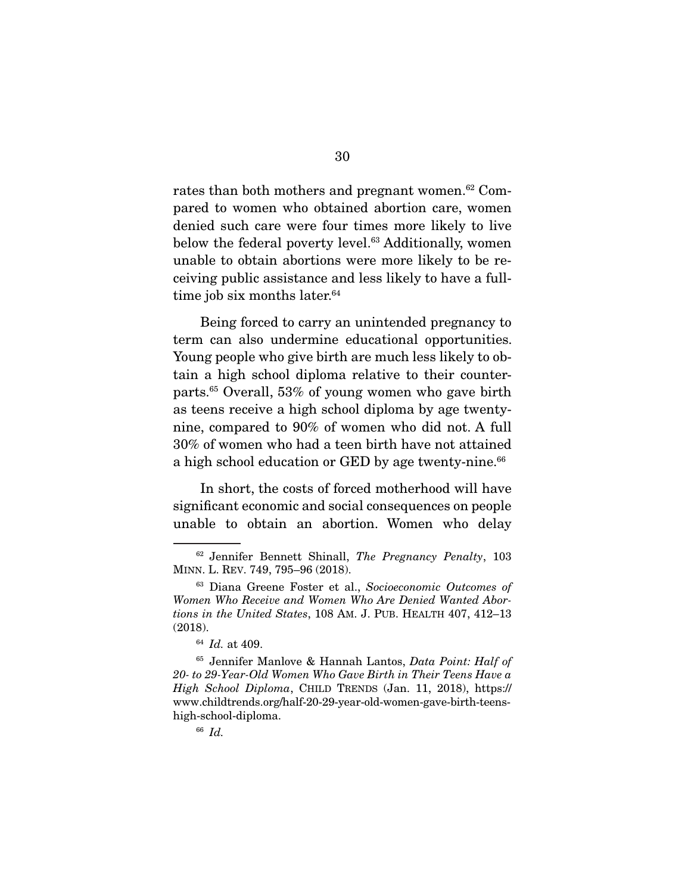rates than both mothers and pregnant women.<sup>62</sup> Compared to women who obtained abortion care, women denied such care were four times more likely to live below the federal poverty level.<sup>63</sup> Additionally, women unable to obtain abortions were more likely to be receiving public assistance and less likely to have a fulltime job six months later.<sup>64</sup>

 Being forced to carry an unintended pregnancy to term can also undermine educational opportunities. Young people who give birth are much less likely to obtain a high school diploma relative to their counterparts.65 Overall, 53% of young women who gave birth as teens receive a high school diploma by age twentynine, compared to 90% of women who did not. A full 30% of women who had a teen birth have not attained a high school education or GED by age twenty-nine.<sup>66</sup>

 In short, the costs of forced motherhood will have significant economic and social consequences on people unable to obtain an abortion. Women who delay

<sup>62</sup> Jennifer Bennett Shinall, *The Pregnancy Penalty*, 103 MINN. L. REV. 749, 795–96 (2018).

<sup>63</sup> Diana Greene Foster et al., *Socioeconomic Outcomes of Women Who Receive and Women Who Are Denied Wanted Abortions in the United States*, 108 AM. J. PUB. HEALTH 407, 412–13 (2018).

<sup>64</sup> *Id.* at 409.

<sup>65</sup> Jennifer Manlove & Hannah Lantos, *Data Point: Half of 20- to 29-Year-Old Women Who Gave Birth in Their Teens Have a High School Diploma*, CHILD TRENDS (Jan. 11, 2018), https:// www.childtrends.org/half-20-29-year-old-women-gave-birth-teenshigh-school-diploma.

<sup>66</sup> *Id.*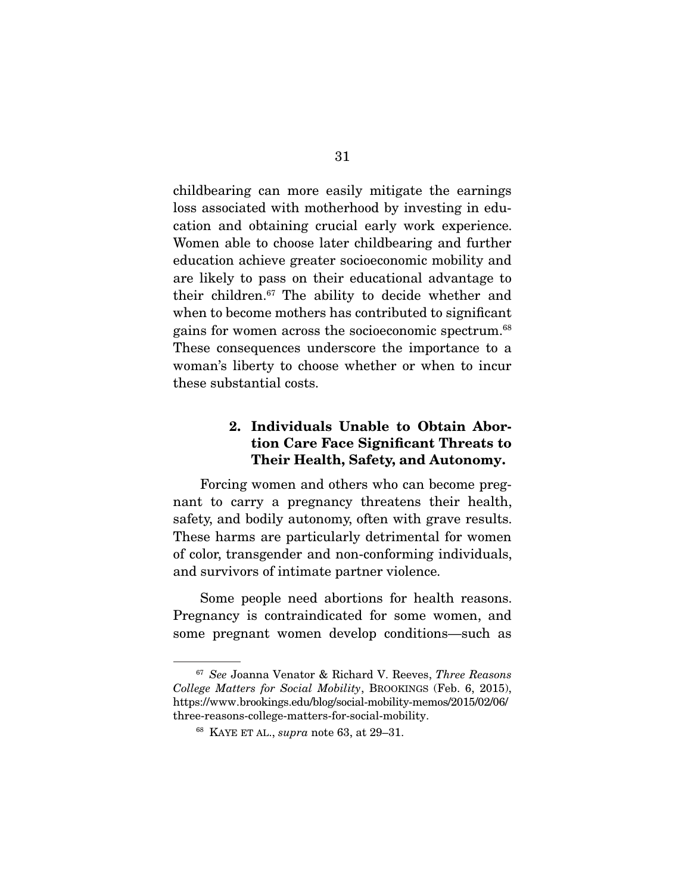childbearing can more easily mitigate the earnings loss associated with motherhood by investing in education and obtaining crucial early work experience. Women able to choose later childbearing and further education achieve greater socioeconomic mobility and are likely to pass on their educational advantage to their children.67 The ability to decide whether and when to become mothers has contributed to significant gains for women across the socioeconomic spectrum.68 These consequences underscore the importance to a woman's liberty to choose whether or when to incur these substantial costs.

### 2. Individuals Unable to Obtain Abortion Care Face Significant Threats to Their Health, Safety, and Autonomy.

 Forcing women and others who can become pregnant to carry a pregnancy threatens their health, safety, and bodily autonomy, often with grave results. These harms are particularly detrimental for women of color, transgender and non-conforming individuals, and survivors of intimate partner violence.

 Some people need abortions for health reasons. Pregnancy is contraindicated for some women, and some pregnant women develop conditions—such as

<sup>67</sup> *See* Joanna Venator & Richard V. Reeves, *Three Reasons College Matters for Social Mobility*, BROOKINGS (Feb. 6, 2015), https://www.brookings.edu/blog/social-mobility-memos/2015/02/06/ three-reasons-college-matters-for-social-mobility.

<sup>68</sup> KAYE ET AL., *supra* note 63, at 29–31.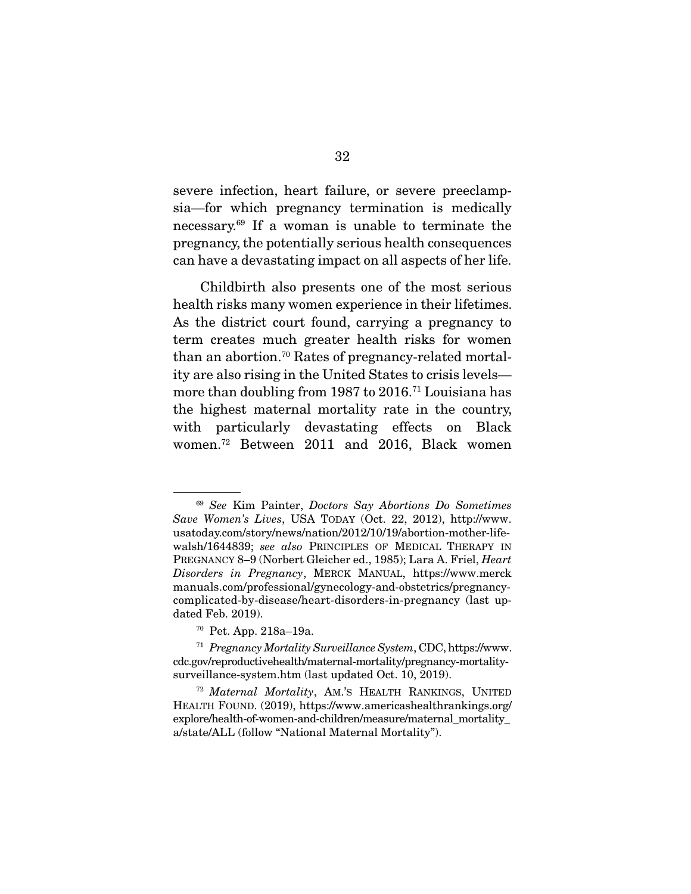severe infection, heart failure, or severe preeclampsia—for which pregnancy termination is medically necessary.69 If a woman is unable to terminate the pregnancy, the potentially serious health consequences can have a devastating impact on all aspects of her life.

 Childbirth also presents one of the most serious health risks many women experience in their lifetimes. As the district court found, carrying a pregnancy to term creates much greater health risks for women than an abortion.70 Rates of pregnancy-related mortality are also rising in the United States to crisis levels more than doubling from 1987 to 2016.71 Louisiana has the highest maternal mortality rate in the country, with particularly devastating effects on Black women.72 Between 2011 and 2016, Black women

<sup>69</sup> *See* Kim Painter, *Doctors Say Abortions Do Sometimes Save Women's Lives*, USA TODAY (Oct. 22, 2012), http://www. usatoday.com/story/news/nation/2012/10/19/abortion-mother-lifewalsh/1644839; *see also* PRINCIPLES OF MEDICAL THERAPY IN PREGNANCY 8–9 (Norbert Gleicher ed., 1985); Lara A. Friel, *Heart Disorders in Pregnancy*, MERCK MANUAL, https://www.merck manuals.com/professional/gynecology-and-obstetrics/pregnancycomplicated-by-disease/heart-disorders-in-pregnancy (last updated Feb. 2019).

<sup>70</sup> Pet. App. 218a–19a.

<sup>71</sup> *Pregnancy Mortality Surveillance System*, CDC, https://www. cdc.gov/reproductivehealth/maternal-mortality/pregnancy-mortalitysurveillance-system.htm (last updated Oct. 10, 2019).

<sup>72</sup> *Maternal Mortality*, AM.'S HEALTH RANKINGS, UNITED HEALTH FOUND. (2019), https://www.americashealthrankings.org/ explore/health-of-women-and-children/measure/maternal\_mortality a/state/ALL (follow "National Maternal Mortality").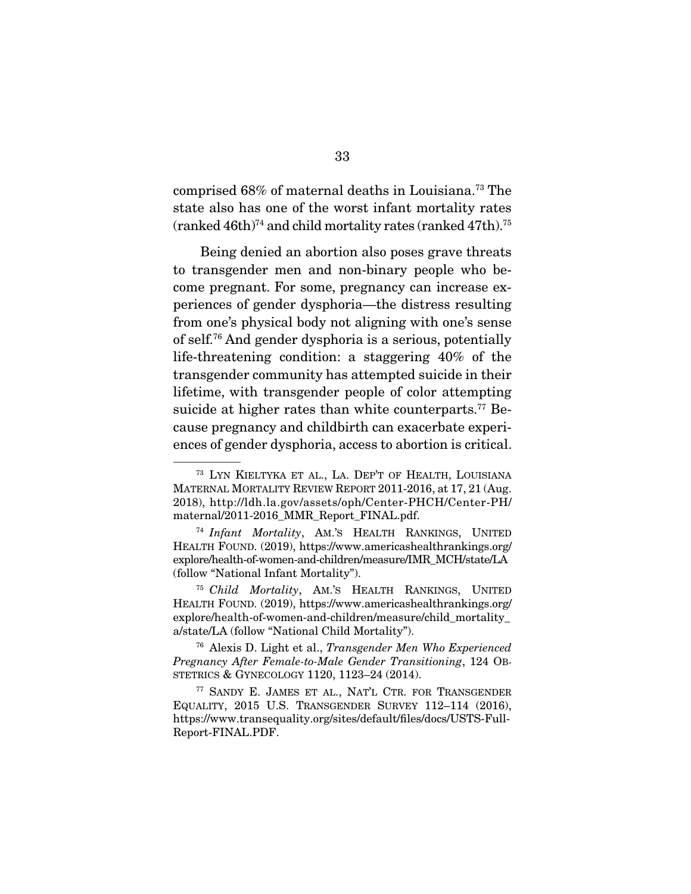comprised 68% of maternal deaths in Louisiana.73 The state also has one of the worst infant mortality rates  $(ranked 46th)^{74}$  and child mortality rates  $(ranked 47th)^{75}$ 

 Being denied an abortion also poses grave threats to transgender men and non-binary people who become pregnant. For some, pregnancy can increase experiences of gender dysphoria—the distress resulting from one's physical body not aligning with one's sense of self.76 And gender dysphoria is a serious, potentially life-threatening condition: a staggering 40% of the transgender community has attempted suicide in their lifetime, with transgender people of color attempting suicide at higher rates than white counterparts.<sup>77</sup> Because pregnancy and childbirth can exacerbate experiences of gender dysphoria, access to abortion is critical.

<sup>73</sup> LYN KIELTYKA ET AL., LA. DEP'T OF HEALTH, LOUISIANA MATERNAL MORTALITY REVIEW REPORT 2011-2016, at 17, 21 (Aug. 2018), http://ldh.la.gov/assets/oph/Center-PHCH/Center-PH/ maternal/2011-2016\_MMR\_Report\_FINAL.pdf.

<sup>74</sup> *Infant Mortality*, AM.'S HEALTH RANKINGS, UNITED HEALTH FOUND. (2019), https://www.americashealthrankings.org/ explore/health-of-women-and-children/measure/IMR\_MCH/state/LA (follow "National Infant Mortality").

<sup>75</sup> *Child Mortality*, AM.'S HEALTH RANKINGS, UNITED HEALTH FOUND. (2019), https://www.americashealthrankings.org/ explore/health-of-women-and-children/measure/child\_mortality\_ a/state/LA (follow "National Child Mortality").

<sup>76</sup> Alexis D. Light et al., *Transgender Men Who Experienced Pregnancy After Female-to-Male Gender Transitioning*, 124 OB-STETRICS & GYNECOLOGY 1120, 1123–24 (2014).

<sup>77</sup> SANDY E. JAMES ET AL., NAT'L CTR. FOR TRANSGENDER EQUALITY, 2015 U.S. TRANSGENDER SURVEY 112–114 (2016), https://www.transequality.org/sites/default/files/docs/USTS-Full-Report-FINAL.PDF.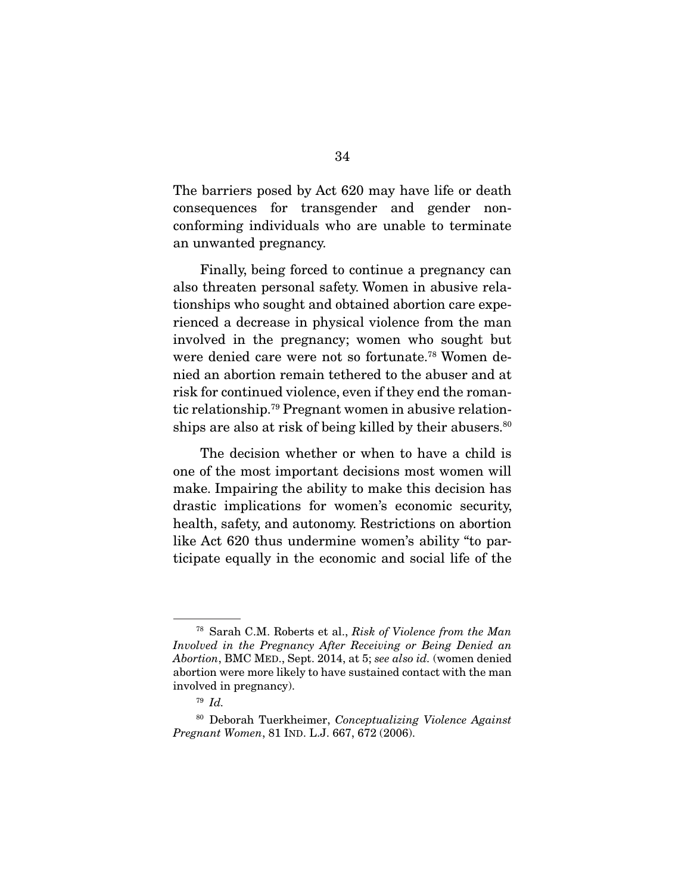The barriers posed by Act 620 may have life or death consequences for transgender and gender nonconforming individuals who are unable to terminate an unwanted pregnancy.

 Finally, being forced to continue a pregnancy can also threaten personal safety. Women in abusive relationships who sought and obtained abortion care experienced a decrease in physical violence from the man involved in the pregnancy; women who sought but were denied care were not so fortunate.78 Women denied an abortion remain tethered to the abuser and at risk for continued violence, even if they end the romantic relationship.79 Pregnant women in abusive relationships are also at risk of being killed by their abusers.<sup>80</sup>

 The decision whether or when to have a child is one of the most important decisions most women will make. Impairing the ability to make this decision has drastic implications for women's economic security, health, safety, and autonomy. Restrictions on abortion like Act 620 thus undermine women's ability "to participate equally in the economic and social life of the

<sup>78</sup> Sarah C.M. Roberts et al., *Risk of Violence from the Man Involved in the Pregnancy After Receiving or Being Denied an Abortion*, BMC MED., Sept. 2014, at 5; *see also id.* (women denied abortion were more likely to have sustained contact with the man involved in pregnancy).

<sup>79</sup> *Id.*

<sup>80</sup> Deborah Tuerkheimer, *Conceptualizing Violence Against Pregnant Women*, 81 IND. L.J. 667, 672 (2006).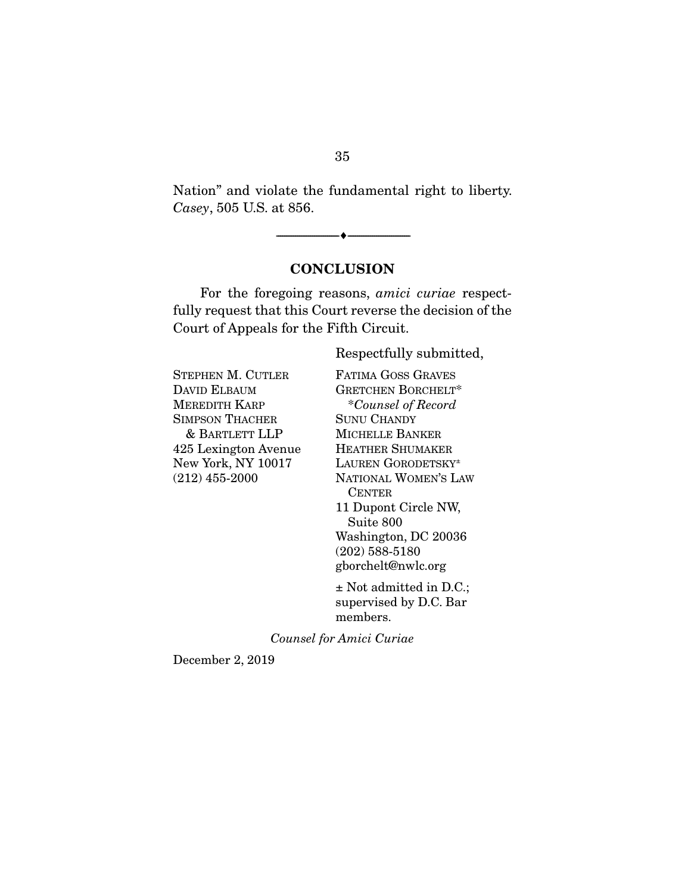Nation" and violate the fundamental right to liberty. *Casey*, 505 U.S. at 856.

#### **CONCLUSION**

--------------------------------- ---------------------------------

 For the foregoing reasons, *amici curiae* respectfully request that this Court reverse the decision of the Court of Appeals for the Fifth Circuit.

Respectfully submitted,

STEPHEN M. CUTLER DAVID ELBAUM MEREDITH KARP SIMPSON THACHER & BARTLETT LLP 425 Lexington Avenue New York, NY 10017 (212) 455-2000

FATIMA GOSS GRAVES GRETCHEN BORCHELT\* \**Counsel of Record* SUNU CHANDY MICHELLE BANKER HEATHER SHUMAKER LAUREN GORODETSKY± NATIONAL WOMEN'S LAW **CENTER** 11 Dupont Circle NW, Suite 800 Washington, DC 20036 (202) 588-5180 gborchelt@nwlc.org

± Not admitted in D.C.; supervised by D.C. Bar members.

*Counsel for Amici Curiae* 

December 2, 2019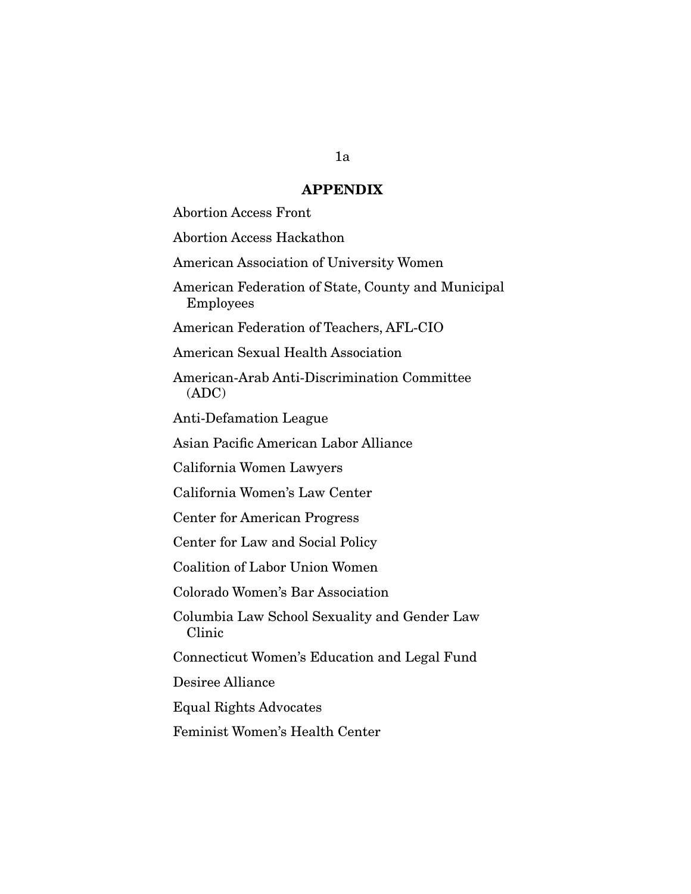#### APPENDIX

Abortion Access Front

Abortion Access Hackathon

American Association of University Women

American Federation of State, County and Municipal Employees

American Federation of Teachers, AFL-CIO

American Sexual Health Association

American-Arab Anti-Discrimination Committee (ADC)

Anti-Defamation League

Asian Pacific American Labor Alliance

California Women Lawyers

California Women's Law Center

Center for American Progress

Center for Law and Social Policy

Coalition of Labor Union Women

Colorado Women's Bar Association

Columbia Law School Sexuality and Gender Law Clinic

Connecticut Women's Education and Legal Fund

Desiree Alliance

Equal Rights Advocates

Feminist Women's Health Center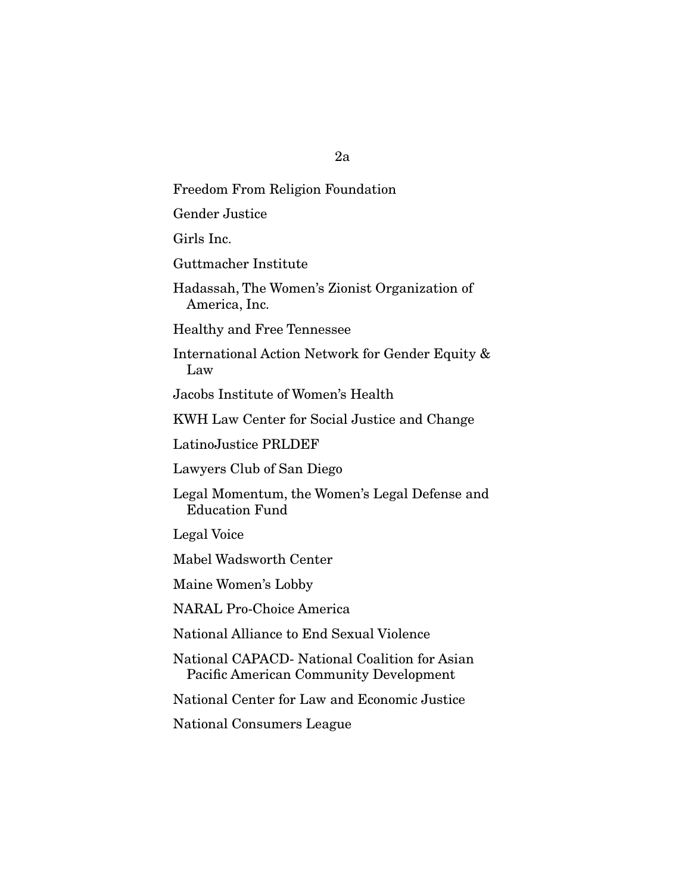# Freedom From Religion Foundation

Gender Justice

Girls Inc.

Guttmacher Institute

Hadassah, The Women's Zionist Organization of America, Inc.

Healthy and Free Tennessee

International Action Network for Gender Equity & Law

Jacobs Institute of Women's Health

KWH Law Center for Social Justice and Change

LatinoJustice PRLDEF

Lawyers Club of San Diego

Legal Momentum, the Women's Legal Defense and Education Fund

Legal Voice

Mabel Wadsworth Center

Maine Women's Lobby

NARAL Pro-Choice America

National Alliance to End Sexual Violence

National CAPACD- National Coalition for Asian Pacific American Community Development

National Center for Law and Economic Justice

National Consumers League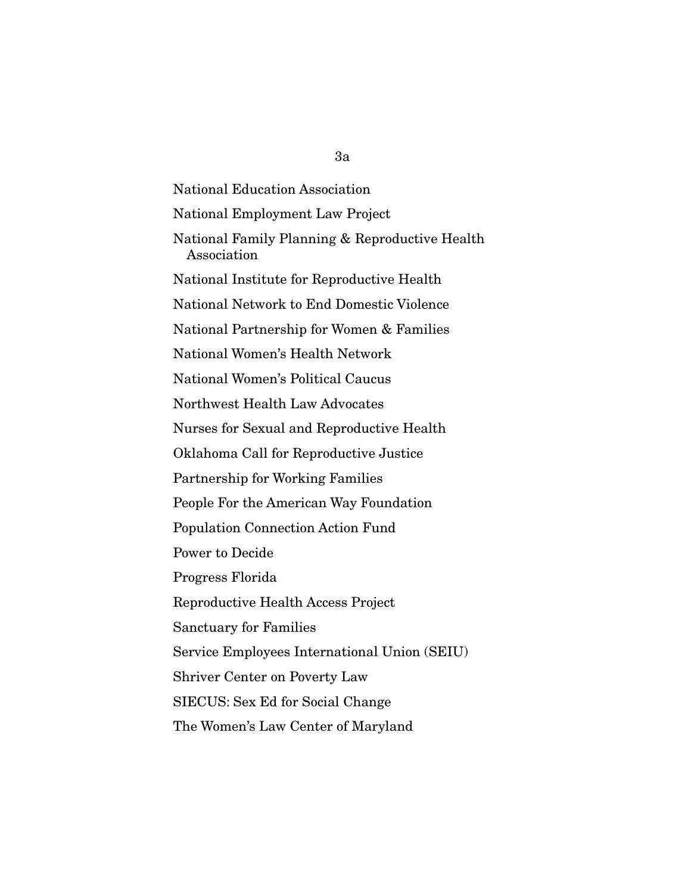National Education Association National Employment Law Project National Family Planning & Reproductive Health Association National Institute for Reproductive Health National Network to End Domestic Violence National Partnership for Women & Families National Women's Health Network National Women's Political Caucus Northwest Health Law Advocates Nurses for Sexual and Reproductive Health Oklahoma Call for Reproductive Justice Partnership for Working Families People For the American Way Foundation Population Connection Action Fund Power to Decide Progress Florida Reproductive Health Access Project Sanctuary for Families Service Employees International Union (SEIU) Shriver Center on Poverty Law SIECUS: Sex Ed for Social Change The Women's Law Center of Maryland